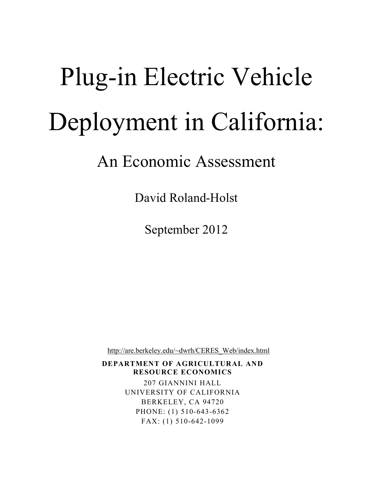# Plug-in Electric Vehicle Deployment in California:

## An Economic Assessment

David Roland-Holst

September 2012

http://are.berkeley.edu/~dwrh/CERES\_Web/index.html

**DEPARTMENT OF AGRICULTURAL AND RESOURCE ECONOMICS**

> 207 GIANNINI HALL UNIVERSITY OF CALIFORNIA BERKELEY, CA 94720 PHONE: (1) 510-643-6362 FAX: (1) 510-642-1099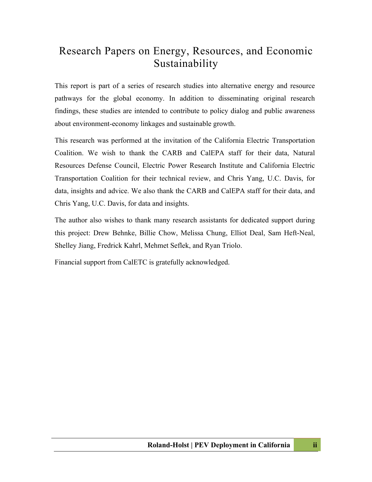### Research Papers on Energy, Resources, and Economic Sustainability

This report is part of a series of research studies into alternative energy and resource pathways for the global economy. In addition to disseminating original research findings, these studies are intended to contribute to policy dialog and public awareness about environment-economy linkages and sustainable growth.

This research was performed at the invitation of the California Electric Transportation Coalition. We wish to thank the CARB and CalEPA staff for their data, Natural Resources Defense Council, Electric Power Research Institute and California Electric Transportation Coalition for their technical review, and Chris Yang, U.C. Davis, for data, insights and advice. We also thank the CARB and CalEPA staff for their data, and Chris Yang, U.C. Davis, for data and insights.

The author also wishes to thank many research assistants for dedicated support during this project: Drew Behnke, Billie Chow, Melissa Chung, Elliot Deal, Sam Heft-Neal, Shelley Jiang, Fredrick Kahrl, Mehmet Seflek, and Ryan Triolo.

Financial support from CalETC is gratefully acknowledged.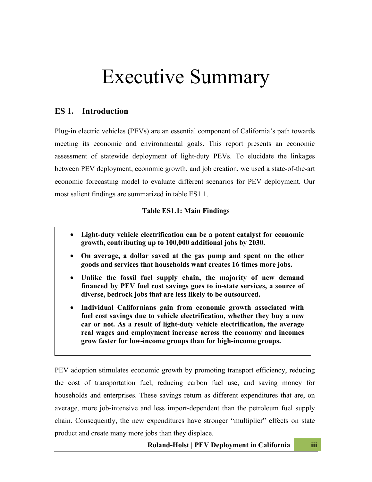# Executive Summary

#### **ES 1. Introduction**

Plug-in electric vehicles (PEVs) are an essential component of California's path towards meeting its economic and environmental goals. This report presents an economic assessment of statewide deployment of light-duty PEVs. To elucidate the linkages between PEV deployment, economic growth, and job creation, we used a state-of-the-art economic forecasting model to evaluate different scenarios for PEV deployment. Our most salient findings are summarized in table ES1.1.

#### **Table ES1.1: Main Findings**

- **Light-duty vehicle electrification can be a potent catalyst for economic growth, contributing up to 100,000 additional jobs by 2030.**
- **On average, a dollar saved at the gas pump and spent on the other goods and services that households want creates 16 times more jobs.**
- **Unlike the fossil fuel supply chain, the majority of new demand financed by PEV fuel cost savings goes to in-state services, a source of diverse, bedrock jobs that are less likely to be outsourced.**
- **Individual Californians gain from economic growth associated with fuel cost savings due to vehicle electrification, whether they buy a new car or not. As a result of light-duty vehicle electrification, the average real wages and employment increase across the economy and incomes grow faster for low-income groups than for high-income groups.**

PEV adoption stimulates economic growth by promoting transport efficiency, reducing the cost of transportation fuel, reducing carbon fuel use, and saving money for households and enterprises. These savings return as different expenditures that are, on average, more job-intensive and less import-dependent than the petroleum fuel supply chain. Consequently, the new expenditures have stronger "multiplier" effects on state product and create many more jobs than they displace.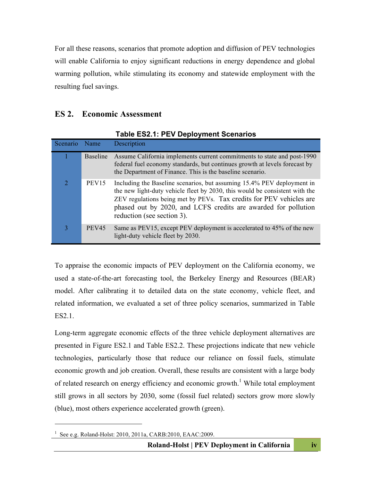For all these reasons, scenarios that promote adoption and diffusion of PEV technologies will enable California to enjoy significant reductions in energy dependence and global warming pollution, while stimulating its economy and statewide employment with the resulting fuel savings.

#### **ES 2. Economic Assessment**

|          |                   | TANIC LOL. II I LY DOPIO JIHOHI OUCHANOU                                                                                                                                                                                                                                                                                     |
|----------|-------------------|------------------------------------------------------------------------------------------------------------------------------------------------------------------------------------------------------------------------------------------------------------------------------------------------------------------------------|
| Scenario | Name              | Description                                                                                                                                                                                                                                                                                                                  |
|          | <b>Baseline</b>   | Assume California implements current commitments to state and post-1990<br>federal fuel economy standards, but continues growth at levels forecast by<br>the Department of Finance. This is the baseline scenario.                                                                                                           |
| 2        | PEV <sub>15</sub> | Including the Baseline scenarios, but assuming 15.4% PEV deployment in<br>the new light-duty vehicle fleet by 2030, this would be consistent with the<br>ZEV regulations being met by PEVs. Tax credits for PEV vehicles are<br>phased out by 2020, and LCFS credits are awarded for pollution<br>reduction (see section 3). |
| 3        | PEV <sub>45</sub> | Same as PEV15, except PEV deployment is accelerated to 45% of the new<br>light-duty vehicle fleet by 2030.                                                                                                                                                                                                                   |

**Table ES2.1: PEV Deployment Scenarios**

To appraise the economic impacts of PEV deployment on the California economy, we used a state-of-the-art forecasting tool, the Berkeley Energy and Resources (BEAR) model. After calibrating it to detailed data on the state economy, vehicle fleet, and related information, we evaluated a set of three policy scenarios, summarized in Table ES2.1.

Long-term aggregate economic effects of the three vehicle deployment alternatives are presented in Figure ES2.1 and Table ES2.2. These projections indicate that new vehicle technologies, particularly those that reduce our reliance on fossil fuels, stimulate economic growth and job creation. Overall, these results are consistent with a large body of related research on energy efficiency and economic growth.<sup>1</sup> While total employment still grows in all sectors by 2030, some (fossil fuel related) sectors grow more slowly (blue), most others experience accelerated growth (green).

 $\overline{a}$ 

<sup>1</sup> See e.g. Roland-Holst: 2010, 2011a, CARB:2010, EAAC:2009.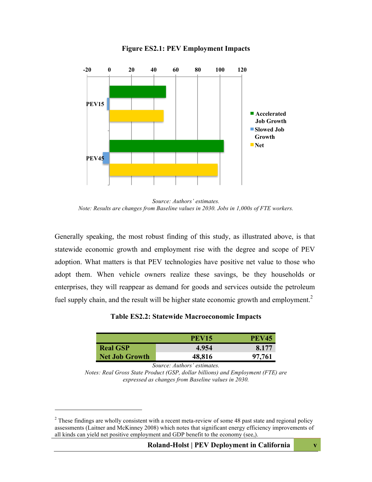

#### **Figure ES2.1: PEV Employment Impacts**

*Source: Authors' estimates. Note: Results are changes from Baseline values in 2030. Jobs in 1,000s of FTE workers.* 

Generally speaking, the most robust finding of this study, as illustrated above, is that statewide economic growth and employment rise with the degree and scope of PEV adoption. What matters is that PEV technologies have positive net value to those who adopt them. When vehicle owners realize these savings, be they households or enterprises, they will reappear as demand for goods and services outside the petroleum fuel supply chain, and the result will be higher state economic growth and employment.<sup>2</sup>

**Table ES2.2: Statewide Macroeconomic Impacts**

|                       | <b>PEV15</b> | <b>PEV45</b> |
|-----------------------|--------------|--------------|
| <b>Real GSP</b>       | 4.954        | 8.177        |
| <b>Net Job Growth</b> | 48,816       | 97,761       |

*Source: Authors' estimates.*

*Notes: Real Gross State Product (GSP, dollar billions) and Employment (FTE) are expressed as changes from Baseline values in 2030.*

 $\overline{a}$ 

<sup>&</sup>lt;sup>2</sup> These findings are wholly consistent with a recent meta-review of some 48 past state and regional policy assessments (Laitner and McKinney 2008) which notes that significant energy efficiency improvements of all kinds can yield net positive employment and GDP benefit to the economy (see,).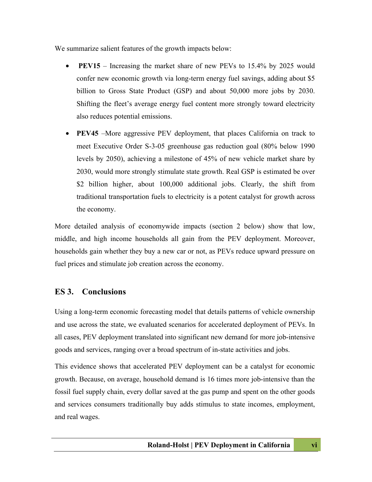We summarize salient features of the growth impacts below:

- **PEV15** Increasing the market share of new PEVs to 15.4% by 2025 would confer new economic growth via long-term energy fuel savings, adding about \$5 billion to Gross State Product (GSP) and about 50,000 more jobs by 2030. Shifting the fleet's average energy fuel content more strongly toward electricity also reduces potential emissions.
- **PEV45** –More aggressive PEV deployment, that places California on track to meet Executive Order S-3-05 greenhouse gas reduction goal (80% below 1990 levels by 2050), achieving a milestone of 45% of new vehicle market share by 2030, would more strongly stimulate state growth. Real GSP is estimated be over \$2 billion higher, about 100,000 additional jobs. Clearly, the shift from traditional transportation fuels to electricity is a potent catalyst for growth across the economy.

More detailed analysis of economywide impacts (section 2 below) show that low, middle, and high income households all gain from the PEV deployment. Moreover, households gain whether they buy a new car or not, as PEVs reduce upward pressure on fuel prices and stimulate job creation across the economy.

#### **ES 3. Conclusions**

Using a long-term economic forecasting model that details patterns of vehicle ownership and use across the state, we evaluated scenarios for accelerated deployment of PEVs. In all cases, PEV deployment translated into significant new demand for more job-intensive goods and services, ranging over a broad spectrum of in-state activities and jobs.

This evidence shows that accelerated PEV deployment can be a catalyst for economic growth. Because, on average, household demand is 16 times more job-intensive than the fossil fuel supply chain, every dollar saved at the gas pump and spent on the other goods and services consumers traditionally buy adds stimulus to state incomes, employment, and real wages.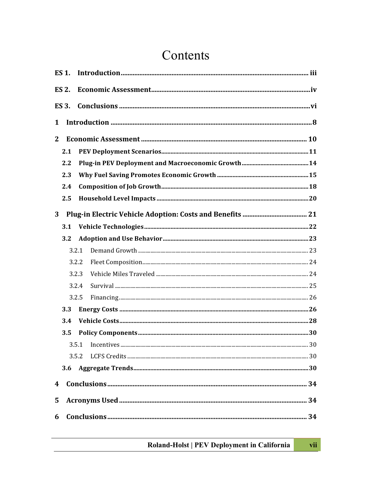### Contents

|                  | <b>ES 1.</b> |       |  |
|------------------|--------------|-------|--|
|                  | <b>ES 2.</b> |       |  |
|                  | <b>ES 3.</b> |       |  |
| 1                |              |       |  |
| $\mathbf{2}$     |              |       |  |
|                  | 2.1          |       |  |
|                  | 2.2          |       |  |
|                  | 2.3          |       |  |
|                  | 2.4          |       |  |
|                  | 2.5          |       |  |
| 3                |              |       |  |
|                  | 3.1          |       |  |
|                  | 3.2          |       |  |
|                  |              | 3.2.1 |  |
|                  |              | 3.2.2 |  |
|                  |              | 3.2.3 |  |
|                  |              | 3.2.4 |  |
|                  |              | 3.2.5 |  |
|                  | 3.3          |       |  |
|                  | 3.4          |       |  |
|                  | 3.5          |       |  |
|                  |              | 3.5.1 |  |
|                  |              | 3.5.2 |  |
|                  | 3.6          |       |  |
| $\boldsymbol{4}$ |              |       |  |
| 5                |              |       |  |
| 6                |              |       |  |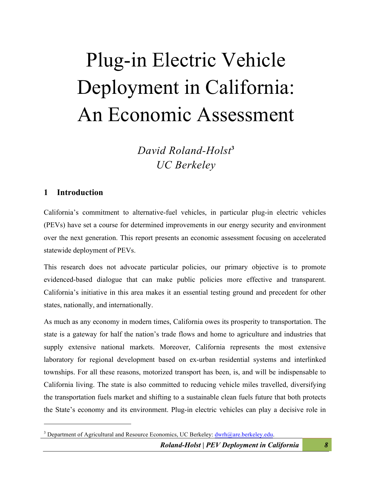# Plug-in Electric Vehicle Deployment in California: An Economic Assessment

*David Roland-Holst***<sup>3</sup>** *UC Berkeley*

#### **1 Introduction**

 $\overline{a}$ 

California's commitment to alternative-fuel vehicles, in particular plug-in electric vehicles (PEVs) have set a course for determined improvements in our energy security and environment over the next generation. This report presents an economic assessment focusing on accelerated statewide deployment of PEVs.

This research does not advocate particular policies, our primary objective is to promote evidenced-based dialogue that can make public policies more effective and transparent. California's initiative in this area makes it an essential testing ground and precedent for other states, nationally, and internationally.

As much as any economy in modern times, California owes its prosperity to transportation. The state is a gateway for half the nation's trade flows and home to agriculture and industries that supply extensive national markets. Moreover, California represents the most extensive laboratory for regional development based on ex-urban residential systems and interlinked townships. For all these reasons, motorized transport has been, is, and will be indispensable to California living. The state is also committed to reducing vehicle miles travelled, diversifying the transportation fuels market and shifting to a sustainable clean fuels future that both protects the State's economy and its environment. Plug-in electric vehicles can play a decisive role in

<sup>&</sup>lt;sup>3</sup> Department of Agricultural and Resource Economics, UC Berkeley:  $\frac{dwrh@are.berkeley.edu.}$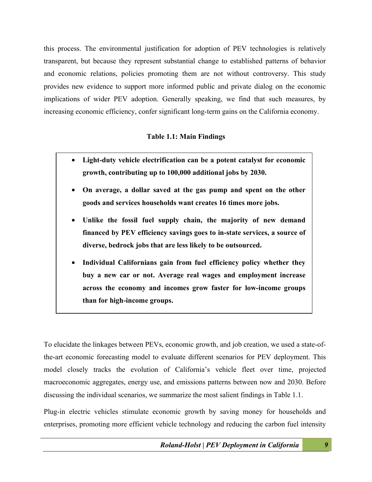this process. The environmental justification for adoption of PEV technologies is relatively transparent, but because they represent substantial change to established patterns of behavior and economic relations, policies promoting them are not without controversy. This study provides new evidence to support more informed public and private dialog on the economic implications of wider PEV adoption. Generally speaking, we find that such measures, by increasing economic efficiency, confer significant long-term gains on the California economy.

#### **Table 1.1: Main Findings**

- **Light-duty vehicle electrification can be a potent catalyst for economic growth, contributing up to 100,000 additional jobs by 2030.**
- **On average, a dollar saved at the gas pump and spent on the other goods and services households want creates 16 times more jobs.**
- **Unlike the fossil fuel supply chain, the majority of new demand financed by PEV efficiency savings goes to in-state services, a source of diverse, bedrock jobs that are less likely to be outsourced.**
- **Individual Californians gain from fuel efficiency policy whether they buy a new car or not. Average real wages and employment increase across the economy and incomes grow faster for low-income groups than for high-income groups.**

To elucidate the linkages between PEVs, economic growth, and job creation, we used a state-ofthe-art economic forecasting model to evaluate different scenarios for PEV deployment. This model closely tracks the evolution of California's vehicle fleet over time, projected macroeconomic aggregates, energy use, and emissions patterns between now and 2030. Before discussing the individual scenarios, we summarize the most salient findings in Table 1.1.

Plug-in electric vehicles stimulate economic growth by saving money for households and enterprises, promoting more efficient vehicle technology and reducing the carbon fuel intensity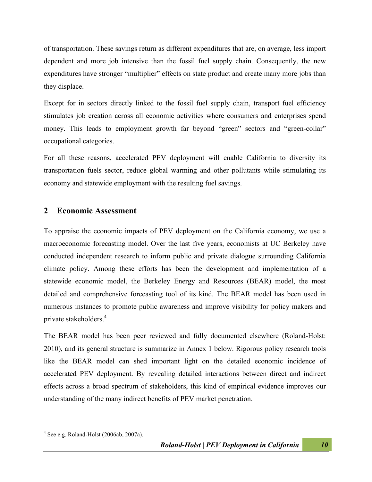of transportation. These savings return as different expenditures that are, on average, less import dependent and more job intensive than the fossil fuel supply chain. Consequently, the new expenditures have stronger "multiplier" effects on state product and create many more jobs than they displace.

Except for in sectors directly linked to the fossil fuel supply chain, transport fuel efficiency stimulates job creation across all economic activities where consumers and enterprises spend money. This leads to employment growth far beyond "green" sectors and "green-collar" occupational categories.

For all these reasons, accelerated PEV deployment will enable California to diversity its transportation fuels sector, reduce global warming and other pollutants while stimulating its economy and statewide employment with the resulting fuel savings.

#### **2 Economic Assessment**

To appraise the economic impacts of PEV deployment on the California economy, we use a macroeconomic forecasting model. Over the last five years, economists at UC Berkeley have conducted independent research to inform public and private dialogue surrounding California climate policy. Among these efforts has been the development and implementation of a statewide economic model, the Berkeley Energy and Resources (BEAR) model, the most detailed and comprehensive forecasting tool of its kind. The BEAR model has been used in numerous instances to promote public awareness and improve visibility for policy makers and private stakeholders.<sup>4</sup>

The BEAR model has been peer reviewed and fully documented elsewhere (Roland-Holst: 2010), and its general structure is summarize in Annex 1 below. Rigorous policy research tools like the BEAR model can shed important light on the detailed economic incidence of accelerated PEV deployment. By revealing detailed interactions between direct and indirect effects across a broad spectrum of stakeholders, this kind of empirical evidence improves our understanding of the many indirect benefits of PEV market penetration.

 $\overline{a}$ 

 $4$  See e.g. Roland-Holst (2006ab, 2007a).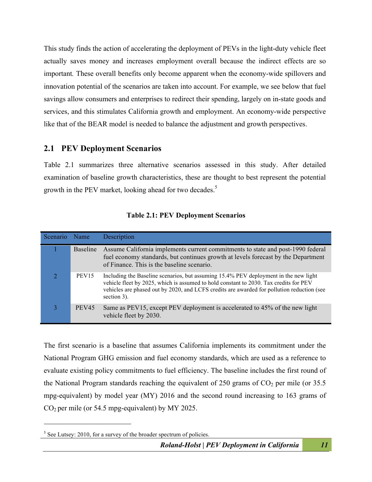This study finds the action of accelerating the deployment of PEVs in the light-duty vehicle fleet actually saves money and increases employment overall because the indirect effects are so important*.* These overall benefits only become apparent when the economy-wide spillovers and innovation potential of the scenarios are taken into account. For example, we see below that fuel savings allow consumers and enterprises to redirect their spending, largely on in-state goods and services, and this stimulates California growth and employment. An economy-wide perspective like that of the BEAR model is needed to balance the adjustment and growth perspectives.

#### **2.1 PEV Deployment Scenarios**

Table 2.1 summarizes three alternative scenarios assessed in this study. After detailed examination of baseline growth characteristics, these are thought to best represent the potential growth in the PEV market, looking ahead for two decades.<sup>5</sup>

| Scenario | Name              | Description                                                                                                                                                                                                                                                                                |
|----------|-------------------|--------------------------------------------------------------------------------------------------------------------------------------------------------------------------------------------------------------------------------------------------------------------------------------------|
|          | <b>Baseline</b>   | Assume California implements current commitments to state and post-1990 federal<br>fuel economy standards, but continues growth at levels forecast by the Department<br>of Finance. This is the baseline scenario.                                                                         |
|          | PEV <sub>15</sub> | Including the Baseline scenarios, but assuming 15.4% PEV deployment in the new light<br>vehicle fleet by 2025, which is assumed to hold constant to 2030. Tax credits for PEV<br>vehicles are phased out by 2020, and LCFS credits are awarded for pollution reduction (see<br>section 3). |
|          | PEV <sub>45</sub> | Same as PEV15, except PEV deployment is accelerated to 45% of the new light<br>vehicle fleet by 2030.                                                                                                                                                                                      |

| <b>Table 2.1: PEV Deployment Scenarios</b> |  |  |
|--------------------------------------------|--|--|
|--------------------------------------------|--|--|

The first scenario is a baseline that assumes California implements its commitment under the National Program GHG emission and fuel economy standards, which are used as a reference to evaluate existing policy commitments to fuel efficiency. The baseline includes the first round of the National Program standards reaching the equivalent of 250 grams of  $CO<sub>2</sub>$  per mile (or 35.5) mpg-equivalent) by model year (MY) 2016 and the second round increasing to 163 grams of CO2 per mile (or 54.5 mpg-equivalent) by MY 2025.

 $\overline{a}$ 

<sup>&</sup>lt;sup>5</sup> See Lutsey: 2010, for a survey of the broader spectrum of policies.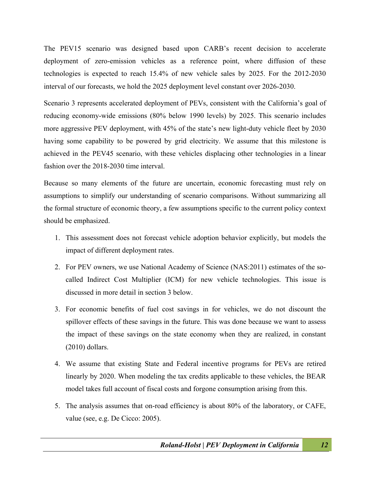The PEV15 scenario was designed based upon CARB's recent decision to accelerate deployment of zero-emission vehicles as a reference point, where diffusion of these technologies is expected to reach 15.4% of new vehicle sales by 2025. For the 2012-2030 interval of our forecasts, we hold the 2025 deployment level constant over 2026-2030.

Scenario 3 represents accelerated deployment of PEVs, consistent with the California's goal of reducing economy-wide emissions (80% below 1990 levels) by 2025. This scenario includes more aggressive PEV deployment, with 45% of the state's new light-duty vehicle fleet by 2030 having some capability to be powered by grid electricity. We assume that this milestone is achieved in the PEV45 scenario, with these vehicles displacing other technologies in a linear fashion over the 2018-2030 time interval.

Because so many elements of the future are uncertain, economic forecasting must rely on assumptions to simplify our understanding of scenario comparisons. Without summarizing all the formal structure of economic theory, a few assumptions specific to the current policy context should be emphasized.

- 1. This assessment does not forecast vehicle adoption behavior explicitly, but models the impact of different deployment rates.
- 2. For PEV owners, we use National Academy of Science (NAS:2011) estimates of the socalled Indirect Cost Multiplier (ICM) for new vehicle technologies. This issue is discussed in more detail in section 3 below.
- 3. For economic benefits of fuel cost savings in for vehicles, we do not discount the spillover effects of these savings in the future. This was done because we want to assess the impact of these savings on the state economy when they are realized, in constant (2010) dollars.
- 4. We assume that existing State and Federal incentive programs for PEVs are retired linearly by 2020. When modeling the tax credits applicable to these vehicles, the BEAR model takes full account of fiscal costs and forgone consumption arising from this.
- 5. The analysis assumes that on-road efficiency is about 80% of the laboratory, or CAFE, value (see, e.g. De Cicco: 2005).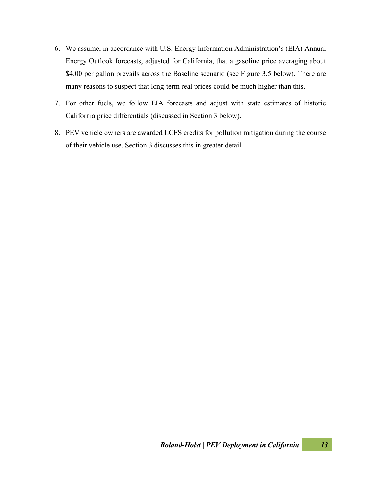- 6. We assume, in accordance with U.S. Energy Information Administration's (EIA) Annual Energy Outlook forecasts, adjusted for California, that a gasoline price averaging about \$4.00 per gallon prevails across the Baseline scenario (see Figure 3.5 below). There are many reasons to suspect that long-term real prices could be much higher than this.
- 7. For other fuels, we follow EIA forecasts and adjust with state estimates of historic California price differentials (discussed in Section 3 below).
- 8. PEV vehicle owners are awarded LCFS credits for pollution mitigation during the course of their vehicle use. Section 3 discusses this in greater detail.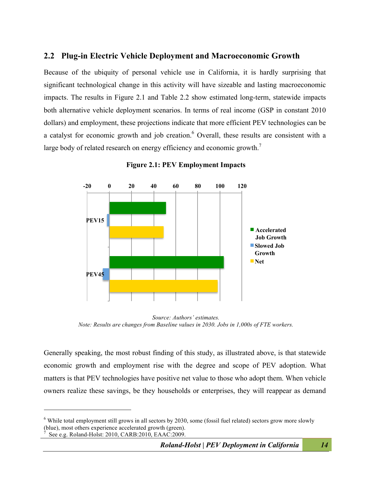#### **2.2 Plug-in Electric Vehicle Deployment and Macroeconomic Growth**

Because of the ubiquity of personal vehicle use in California, it is hardly surprising that significant technological change in this activity will have sizeable and lasting macroeconomic impacts. The results in Figure 2.1 and Table 2.2 show estimated long-term, statewide impacts both alternative vehicle deployment scenarios. In terms of real income (GSP in constant 2010 dollars) and employment, these projections indicate that more efficient PEV technologies can be a catalyst for economic growth and job creation.<sup>6</sup> Overall, these results are consistent with a large body of related research on energy efficiency and economic growth.<sup>7</sup>



**Figure 2.1: PEV Employment Impacts**

Generally speaking, the most robust finding of this study, as illustrated above, is that statewide economic growth and employment rise with the degree and scope of PEV adoption. What matters is that PEV technologies have positive net value to those who adopt them. When vehicle owners realize these savings, be they households or enterprises, they will reappear as demand

 $\overline{a}$ 

*Source: Authors' estimates. Note: Results are changes from Baseline values in 2030. Jobs in 1,000s of FTE workers.* 

<sup>&</sup>lt;sup>6</sup> While total employment still grows in all sectors by 2030, some (fossil fuel related) sectors grow more slowly (blue), most others experience accelerated growth (green).<br>  $\frac{7}{2}$  See e.g. Reland Holst: 2010, CARR: 2010, EAAC: 2000 See e.g. Roland-Holst: 2010, CARB:2010, EAAC:2009.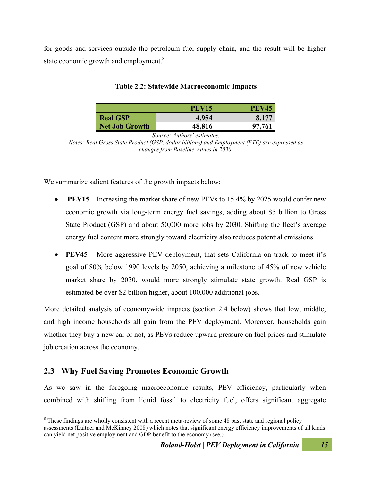for goods and services outside the petroleum fuel supply chain, and the result will be higher state economic growth and employment.<sup>8</sup>

|                       | <b>PEV15</b> | <b>PEV45</b> |
|-----------------------|--------------|--------------|
| <b>Real GSP</b>       | 4.954        | 8.177        |
| <b>Net Job Growth</b> | 48,816       | 97,761       |

#### **Table 2.2: Statewide Macroeconomic Impacts**

*Source: Authors' estimates.*

*Notes: Real Gross State Product (GSP, dollar billions) and Employment (FTE) are expressed as changes from Baseline values in 2030.* 

We summarize salient features of the growth impacts below:

- **PEV15** Increasing the market share of new PEVs to 15.4% by 2025 would confer new economic growth via long-term energy fuel savings, adding about \$5 billion to Gross State Product (GSP) and about 50,000 more jobs by 2030. Shifting the fleet's average energy fuel content more strongly toward electricity also reduces potential emissions.
- **PEV45** More aggressive PEV deployment, that sets California on track to meet it's goal of 80% below 1990 levels by 2050, achieving a milestone of 45% of new vehicle market share by 2030, would more strongly stimulate state growth. Real GSP is estimated be over \$2 billion higher, about 100,000 additional jobs.

More detailed analysis of economywide impacts (section 2.4 below) shows that low, middle, and high income households all gain from the PEV deployment. Moreover, households gain whether they buy a new car or not, as PEVs reduce upward pressure on fuel prices and stimulate job creation across the economy.

#### **2.3 Why Fuel Saving Promotes Economic Growth**

 $\overline{a}$ 

As we saw in the foregoing macroeconomic results, PEV efficiency, particularly when combined with shifting from liquid fossil to electricity fuel, offers significant aggregate

<sup>&</sup>lt;sup>8</sup> These findings are wholly consistent with a recent meta-review of some 48 past state and regional policy assessments (Laitner and McKinney 2008) which notes that significant energy efficiency improvements of all kinds can yield net positive employment and GDP benefit to the economy (see,).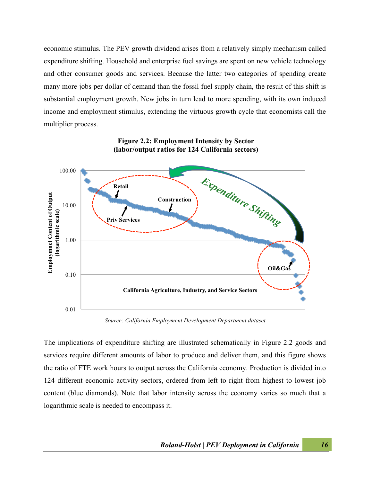economic stimulus. The PEV growth dividend arises from a relatively simply mechanism called expenditure shifting. Household and enterprise fuel savings are spent on new vehicle technology and other consumer goods and services. Because the latter two categories of spending create many more jobs per dollar of demand than the fossil fuel supply chain, the result of this shift is substantial employment growth. New jobs in turn lead to more spending, with its own induced income and employment stimulus, extending the virtuous growth cycle that economists call the multiplier process.



**Figure 2.2: Employment Intensity by Sector (labor/output ratios for 124 California sectors)**

*Source: California Employment Development Department dataset.*

The implications of expenditure shifting are illustrated schematically in Figure 2.2 goods and services require different amounts of labor to produce and deliver them, and this figure shows the ratio of FTE work hours to output across the California economy. Production is divided into 124 different economic activity sectors, ordered from left to right from highest to lowest job content (blue diamonds). Note that labor intensity across the economy varies so much that a logarithmic scale is needed to encompass it.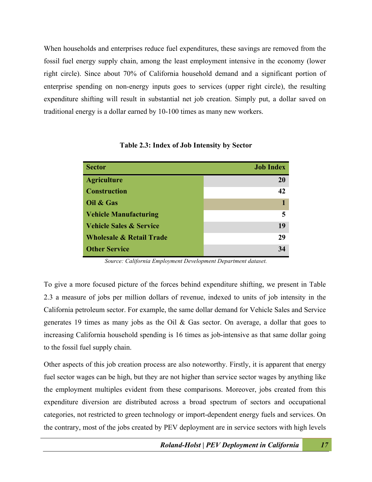When households and enterprises reduce fuel expenditures, these savings are removed from the fossil fuel energy supply chain, among the least employment intensive in the economy (lower right circle). Since about 70% of California household demand and a significant portion of enterprise spending on non-energy inputs goes to services (upper right circle), the resulting expenditure shifting will result in substantial net job creation. Simply put, a dollar saved on traditional energy is a dollar earned by 10-100 times as many new workers.

| <b>Sector</b>                       | <b>Job Index</b> |
|-------------------------------------|------------------|
| <b>Agriculture</b>                  | 20               |
| <b>Construction</b>                 | 42               |
| Oil & Gas                           |                  |
| <b>Vehicle Manufacturing</b>        | 5                |
| <b>Vehicle Sales &amp; Service</b>  | 19               |
| <b>Wholesale &amp; Retail Trade</b> | 29               |
| <b>Other Service</b>                | 34               |

**Table 2.3: Index of Job Intensity by Sector**

*Source: California Employment Development Department dataset.*

To give a more focused picture of the forces behind expenditure shifting, we present in Table 2.3 a measure of jobs per million dollars of revenue, indexed to units of job intensity in the California petroleum sector. For example, the same dollar demand for Vehicle Sales and Service generates 19 times as many jobs as the Oil & Gas sector. On average, a dollar that goes to increasing California household spending is 16 times as job-intensive as that same dollar going to the fossil fuel supply chain.

Other aspects of this job creation process are also noteworthy. Firstly, it is apparent that energy fuel sector wages can be high, but they are not higher than service sector wages by anything like the employment multiples evident from these comparisons. Moreover, jobs created from this expenditure diversion are distributed across a broad spectrum of sectors and occupational categories, not restricted to green technology or import-dependent energy fuels and services. On the contrary, most of the jobs created by PEV deployment are in service sectors with high levels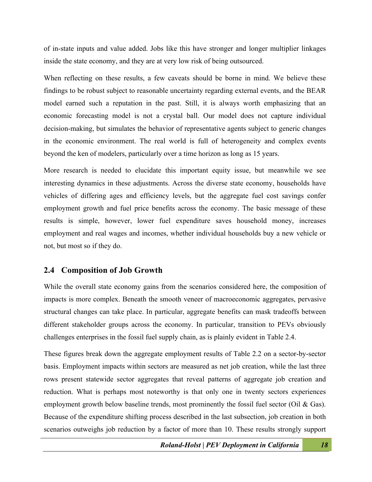of in-state inputs and value added. Jobs like this have stronger and longer multiplier linkages inside the state economy, and they are at very low risk of being outsourced.

When reflecting on these results, a few caveats should be borne in mind. We believe these findings to be robust subject to reasonable uncertainty regarding external events, and the BEAR model earned such a reputation in the past. Still, it is always worth emphasizing that an economic forecasting model is not a crystal ball. Our model does not capture individual decision-making, but simulates the behavior of representative agents subject to generic changes in the economic environment. The real world is full of heterogeneity and complex events beyond the ken of modelers, particularly over a time horizon as long as 15 years.

More research is needed to elucidate this important equity issue, but meanwhile we see interesting dynamics in these adjustments. Across the diverse state economy, households have vehicles of differing ages and efficiency levels, but the aggregate fuel cost savings confer employment growth and fuel price benefits across the economy. The basic message of these results is simple, however, lower fuel expenditure saves household money, increases employment and real wages and incomes, whether individual households buy a new vehicle or not, but most so if they do.

#### **2.4 Composition of Job Growth**

While the overall state economy gains from the scenarios considered here, the composition of impacts is more complex. Beneath the smooth veneer of macroeconomic aggregates, pervasive structural changes can take place. In particular, aggregate benefits can mask tradeoffs between different stakeholder groups across the economy. In particular, transition to PEVs obviously challenges enterprises in the fossil fuel supply chain, as is plainly evident in Table 2.4.

These figures break down the aggregate employment results of Table 2.2 on a sector-by-sector basis. Employment impacts within sectors are measured as net job creation, while the last three rows present statewide sector aggregates that reveal patterns of aggregate job creation and reduction. What is perhaps most noteworthy is that only one in twenty sectors experiences employment growth below baseline trends, most prominently the fossil fuel sector (Oil & Gas). Because of the expenditure shifting process described in the last subsection, job creation in both scenarios outweighs job reduction by a factor of more than 10. These results strongly support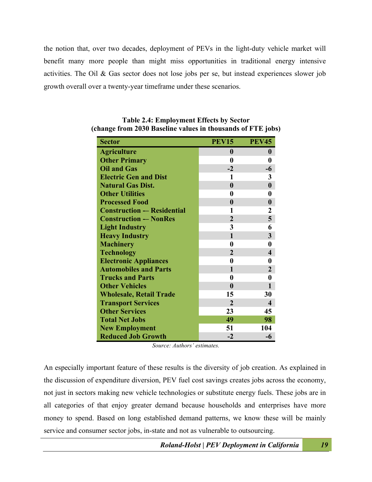the notion that, over two decades, deployment of PEVs in the light-duty vehicle market will benefit many more people than might miss opportunities in traditional energy intensive activities. The Oil & Gas sector does not lose jobs per se, but instead experiences slower job growth overall over a twenty-year timeframe under these scenarios.

| <b>Sector</b>                     | <b>PEV15</b>   | <b>PEV45</b>            |
|-----------------------------------|----------------|-------------------------|
| <b>Agriculture</b>                | $\bf{0}$       | $\bf{0}$                |
| <b>Other Primary</b>              | $\bf{0}$       | $\bf{0}$                |
| <b>Oil and Gas</b>                | $-2$           | -6                      |
| <b>Electric Gen and Dist</b>      | $\mathbf{1}$   | 3                       |
| <b>Natural Gas Dist.</b>          | $\bf{0}$       | $\boldsymbol{0}$        |
| <b>Other Utilities</b>            | 0              | 0                       |
| <b>Processed Food</b>             | $\bf{0}$       | $\boldsymbol{0}$        |
| <b>Construction - Residential</b> | 1              | $\mathbf{2}$            |
| <b>Construction -- NonRes</b>     | $\overline{2}$ | 5                       |
| <b>Light Industry</b>             | 3              | 6                       |
| <b>Heavy Industry</b>             | $\mathbf{1}$   | $\overline{\mathbf{3}}$ |
| <b>Machinery</b>                  | 0              | 0                       |
| <b>Technology</b>                 | $\overline{2}$ | $\overline{\mathbf{4}}$ |
| <b>Electronic Appliances</b>      | 0              | 0                       |
| <b>Automobiles and Parts</b>      | 1              | $\overline{2}$          |
| <b>Trucks and Parts</b>           | 0              | 0                       |
| <b>Other Vehicles</b>             | $\bf{0}$       | $\mathbf{1}$            |
| <b>Wholesale, Retail Trade</b>    | 15             | 30                      |
| <b>Transport Services</b>         | $\overline{2}$ | $\overline{\mathbf{4}}$ |
| <b>Other Services</b>             | 23             | 45                      |
| <b>Total Net Jobs</b>             | 49             | 98                      |
| <b>New Employment</b>             | 51             | 104                     |
| <b>Reduced Job Growth</b>         | $-2$           | $-6$                    |

**Table 2.4: Employment Effects by Sector (change from 2030 Baseline values in thousands of FTE jobs)**

*Source: Authors' estimates.*

An especially important feature of these results is the diversity of job creation. As explained in the discussion of expenditure diversion, PEV fuel cost savings creates jobs across the economy, not just in sectors making new vehicle technologies or substitute energy fuels. These jobs are in all categories of that enjoy greater demand because households and enterprises have more money to spend. Based on long established demand patterns, we know these will be mainly service and consumer sector jobs, in-state and not as vulnerable to outsourcing.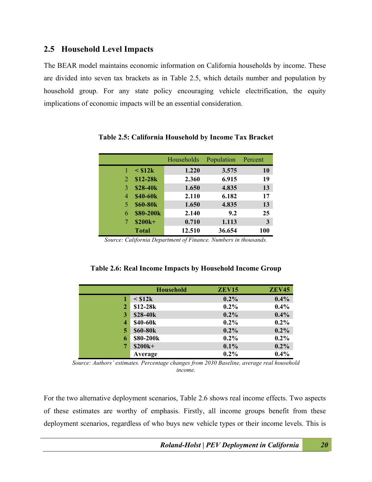#### **2.5 Household Level Impacts**

The BEAR model maintains economic information on California households by income. These are divided into seven tax brackets as in Table 2.5, which details number and population by household group. For any state policy encouraging vehicle electrification, the equity implications of economic impacts will be an essential consideration.

|   |                 | Households | Population | Percent   |
|---|-----------------|------------|------------|-----------|
|   | $\leq$ \$12k    | 1.220      | 3.575      | <b>10</b> |
| 2 | $$12-28k$       | 2.360      | 6.915      | 19        |
| 3 | \$28-40k        | 1.650      | 4.835      | 13        |
| 4 | \$40-60k        | 2.110      | 6.182      | 17        |
| 5 | <b>\$60-80k</b> | 1.650      | 4.835      | 13        |
| 6 | \$80-200k       | 2.140      | 9.2        | 25        |
| 7 | \$200k+         | 0.710      | 1.113      | 3         |
|   | <b>Total</b>    | 12.510     | 36.654     | 100       |

**Table 2.5: California Household by Income Tax Bracket**

*Source: California Department of Finance. Numbers in thousands.*

|              | <b>Household</b> | ZEV <sub>15</sub> | <b>ZEV45</b> |
|--------------|------------------|-------------------|--------------|
| 1            | $\leq$ \$12 $k$  | $0.2\%$           | 0.4%         |
| $\mathbf{2}$ | $$12-28k$        | $0.2\%$           | 0.4%         |
| 3            | \$28-40k         | $0.2\%$           | 0.4%         |
| 4            | \$40-60k         | $0.2\%$           | $0.2\%$      |
| 5            | \$60-80k         | $0.2\%$           | $0.2\%$      |
| 6            | \$80-200k        | $0.2\%$           | $0.2\%$      |
| 7            | \$200k+          | 0.1%              | $0.2\%$      |
|              | Average          | $0.2\%$           | 0.4%         |

**Table 2.6: Real Income Impacts by Household Income Group**

*Source: Authors' estimates. Percentage changes from 2030 Baseline, average real household income.*

For the two alternative deployment scenarios, Table 2.6 shows real income effects. Two aspects of these estimates are worthy of emphasis. Firstly, all income groups benefit from these deployment scenarios, regardless of who buys new vehicle types or their income levels. This is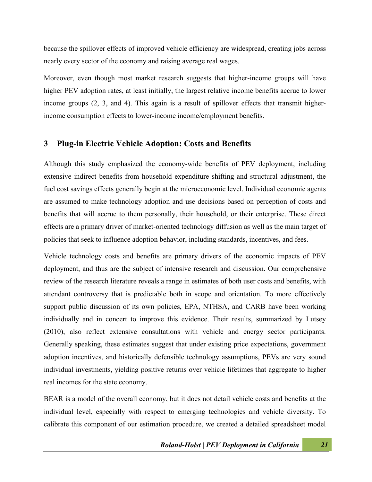because the spillover effects of improved vehicle efficiency are widespread, creating jobs across nearly every sector of the economy and raising average real wages.

Moreover, even though most market research suggests that higher-income groups will have higher PEV adoption rates, at least initially, the largest relative income benefits accrue to lower income groups (2, 3, and 4). This again is a result of spillover effects that transmit higherincome consumption effects to lower-income income/employment benefits.

#### **3 Plug-in Electric Vehicle Adoption: Costs and Benefits**

Although this study emphasized the economy-wide benefits of PEV deployment, including extensive indirect benefits from household expenditure shifting and structural adjustment, the fuel cost savings effects generally begin at the microeconomic level. Individual economic agents are assumed to make technology adoption and use decisions based on perception of costs and benefits that will accrue to them personally, their household, or their enterprise. These direct effects are a primary driver of market-oriented technology diffusion as well as the main target of policies that seek to influence adoption behavior, including standards, incentives, and fees.

Vehicle technology costs and benefits are primary drivers of the economic impacts of PEV deployment, and thus are the subject of intensive research and discussion. Our comprehensive review of the research literature reveals a range in estimates of both user costs and benefits, with attendant controversy that is predictable both in scope and orientation. To more effectively support public discussion of its own policies, EPA, NTHSA, and CARB have been working individually and in concert to improve this evidence. Their results, summarized by Lutsey (2010), also reflect extensive consultations with vehicle and energy sector participants. Generally speaking, these estimates suggest that under existing price expectations, government adoption incentives, and historically defensible technology assumptions, PEVs are very sound individual investments, yielding positive returns over vehicle lifetimes that aggregate to higher real incomes for the state economy.

BEAR is a model of the overall economy, but it does not detail vehicle costs and benefits at the individual level, especially with respect to emerging technologies and vehicle diversity. To calibrate this component of our estimation procedure, we created a detailed spreadsheet model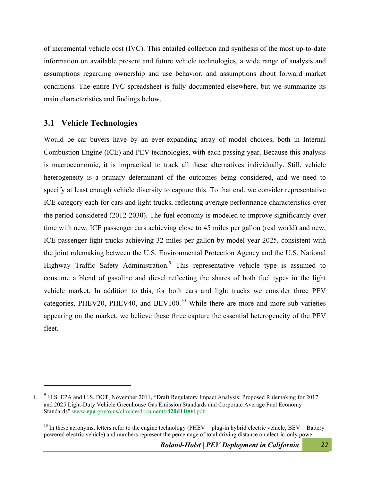of incremental vehicle cost (IVC). This entailed collection and synthesis of the most up-to-date information on available present and future vehicle technologies, a wide range of analysis and assumptions regarding ownership and use behavior, and assumptions about forward market conditions. The entire IVC spreadsheet is fully documented elsewhere, but we summarize its main characteristics and findings below.

#### **3.1 Vehicle Technologies**

 $\overline{a}$ 

Would be car buyers have by an ever-expanding array of model choices, both in Internal Combustion Engine (ICE) and PEV technologies, with each passing year. Because this analysis is macroeconomic, it is impractical to track all these alternatives individually. Still, vehicle heterogeneity is a primary determinant of the outcomes being considered, and we need to specify at least enough vehicle diversity to capture this. To that end, we consider representative ICE category each for cars and light trucks, reflecting average performance characteristics over the period considered (2012-2030). The fuel economy is modeled to improve significantly over time with new, ICE passenger cars achieving close to 45 miles per gallon (real world) and new, ICE passenger light trucks achieving 32 miles per gallon by model year 2025, consistent with the joint rulemaking between the U.S. Environmental Protection Agency and the U.S. National Highway Traffic Safety Administration.<sup>9</sup> This representative vehicle type is assumed to consume a blend of gasoline and diesel reflecting the shares of both fuel types in the light vehicle market. In addition to this, for both cars and light trucks we consider three PEV categories, PHEV20, PHEV40, and BEV100.<sup>10</sup> While there are more and more sub varieties appearing on the market, we believe these three capture the essential heterogeneity of the PEV fleet.

<sup>&</sup>lt;sup>9</sup> U.S. EPA and U.S. DOT, November 2011, "Draft Regulatory Impact Analysis: Proposed Rulemaking for 2017 and 2025 Light-Duty Vehicle Greenhouse Gas Emission Standards and Corporate Average Fuel Economy Standards" www.**epa**.gov/oms/climate/documents/**420d11004**.pdf

<sup>&</sup>lt;sup>10</sup> In these acronyms, letters refer to the engine technology (PHEV = plug-in hybrid electric vehicle, BEV = Battery powered electric vehicle) and numbers represent the percentage of total driving distance on electric-only power.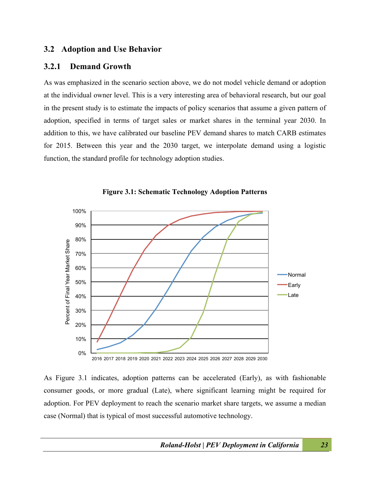#### **3.2 Adoption and Use Behavior**

#### **3.2.1 Demand Growth**

As was emphasized in the scenario section above, we do not model vehicle demand or adoption at the individual owner level. This is a very interesting area of behavioral research, but our goal in the present study is to estimate the impacts of policy scenarios that assume a given pattern of adoption, specified in terms of target sales or market shares in the terminal year 2030. In addition to this, we have calibrated our baseline PEV demand shares to match CARB estimates for 2015. Between this year and the 2030 target, we interpolate demand using a logistic function, the standard profile for technology adoption studies.



**Figure 3.1: Schematic Technology Adoption Patterns**

As Figure 3.1 indicates, adoption patterns can be accelerated (Early), as with fashionable consumer goods, or more gradual (Late), where significant learning might be required for adoption. For PEV deployment to reach the scenario market share targets, we assume a median case (Normal) that is typical of most successful automotive technology.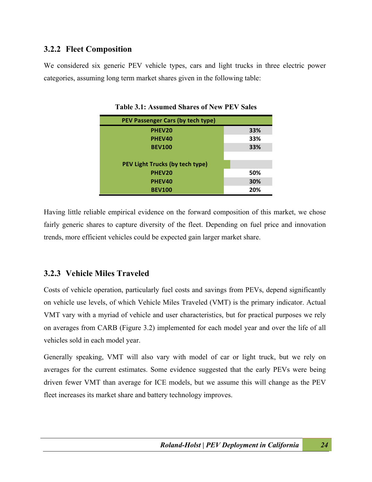#### **3.2.2 Fleet Composition**

We considered six generic PEV vehicle types, cars and light trucks in three electric power categories, assuming long term market shares given in the following table:

| PEV Passenger Cars (by tech type) |     |
|-----------------------------------|-----|
| PHEV20                            | 33% |
| PHEV40                            | 33% |
| <b>BEV100</b>                     | 33% |
|                                   |     |
| PEV Light Trucks (by tech type)   |     |
| PHEV20                            | 50% |
| PHEV40                            | 30% |
| <b>BEV100</b>                     | 20% |

**Table 3.1: Assumed Shares of New PEV Sales**

Having little reliable empirical evidence on the forward composition of this market, we chose fairly generic shares to capture diversity of the fleet. Depending on fuel price and innovation trends, more efficient vehicles could be expected gain larger market share.

#### **3.2.3 Vehicle Miles Traveled**

Costs of vehicle operation, particularly fuel costs and savings from PEVs, depend significantly on vehicle use levels, of which Vehicle Miles Traveled (VMT) is the primary indicator. Actual VMT vary with a myriad of vehicle and user characteristics, but for practical purposes we rely on averages from CARB (Figure 3.2) implemented for each model year and over the life of all vehicles sold in each model year.

Generally speaking, VMT will also vary with model of car or light truck, but we rely on averages for the current estimates. Some evidence suggested that the early PEVs were being driven fewer VMT than average for ICE models, but we assume this will change as the PEV fleet increases its market share and battery technology improves.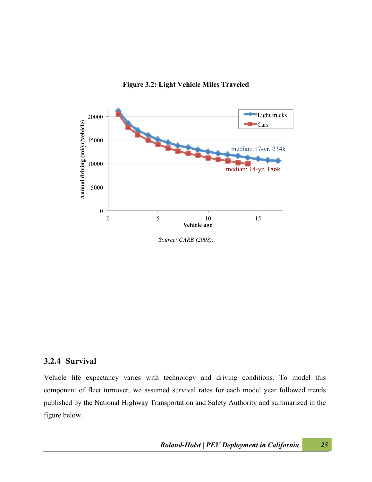



*Source: CARB (2008).*

#### **3.2.4 Survival**

Vehicle life expectancy varies with technology and driving conditions. To model this component of fleet turnover, we assumed survival rates for each model year followed trends published by the National Highway Transportation and Safety Authority and summarized in the figure below.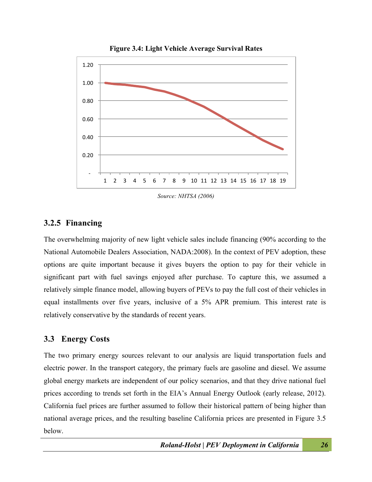

**Figure 3.4: Light Vehicle Average Survival Rates**

*Source: NHTSA (2006)*

#### **3.2.5 Financing**

The overwhelming majority of new light vehicle sales include financing (90% according to the National Automobile Dealers Association, NADA:2008). In the context of PEV adoption, these options are quite important because it gives buyers the option to pay for their vehicle in significant part with fuel savings enjoyed after purchase. To capture this, we assumed a relatively simple finance model, allowing buyers of PEVs to pay the full cost of their vehicles in equal installments over five years, inclusive of a 5% APR premium. This interest rate is relatively conservative by the standards of recent years.

#### **3.3 Energy Costs**

The two primary energy sources relevant to our analysis are liquid transportation fuels and electric power. In the transport category, the primary fuels are gasoline and diesel. We assume global energy markets are independent of our policy scenarios, and that they drive national fuel prices according to trends set forth in the EIA's Annual Energy Outlook (early release, 2012). California fuel prices are further assumed to follow their historical pattern of being higher than national average prices, and the resulting baseline California prices are presented in Figure 3.5 below.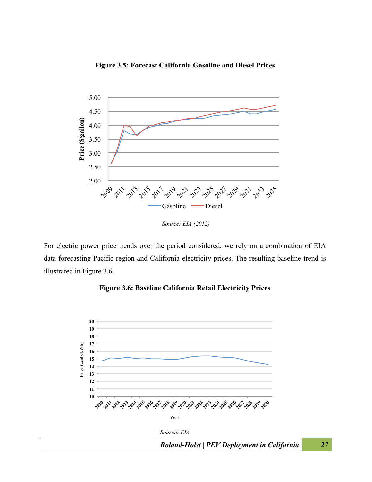



*Source: EIA (2012)*

For electric power price trends over the period considered, we rely on a combination of EIA data forecasting Pacific region and California electricity prices. The resulting baseline trend is illustrated in Figure 3.6.



**Figure 3.6: Baseline California Retail Electricity Prices**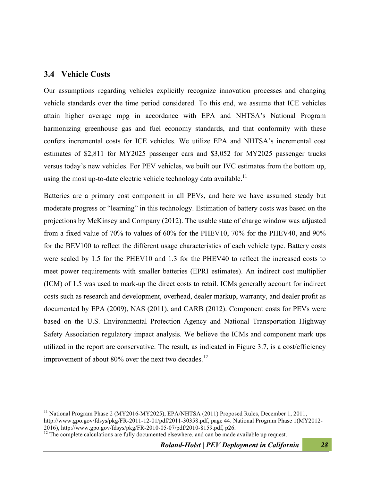#### **3.4 Vehicle Costs**

 $\overline{a}$ 

Our assumptions regarding vehicles explicitly recognize innovation processes and changing vehicle standards over the time period considered. To this end, we assume that ICE vehicles attain higher average mpg in accordance with EPA and NHTSA's National Program harmonizing greenhouse gas and fuel economy standards, and that conformity with these confers incremental costs for ICE vehicles. We utilize EPA and NHTSA's incremental cost estimates of \$2,811 for MY2025 passenger cars and \$3,052 for MY2025 passenger trucks versus today's new vehicles. For PEV vehicles, we built our IVC estimates from the bottom up, using the most up-to-date electric vehicle technology data available.<sup>11</sup>

Batteries are a primary cost component in all PEVs, and here we have assumed steady but moderate progress or "learning" in this technology. Estimation of battery costs was based on the projections by McKinsey and Company (2012). The usable state of charge window was adjusted from a fixed value of 70% to values of 60% for the PHEV10, 70% for the PHEV40, and 90% for the BEV100 to reflect the different usage characteristics of each vehicle type. Battery costs were scaled by 1.5 for the PHEV10 and 1.3 for the PHEV40 to reflect the increased costs to meet power requirements with smaller batteries (EPRI estimates). An indirect cost multiplier (ICM) of 1.5 was used to mark-up the direct costs to retail. ICMs generally account for indirect costs such as research and development, overhead, dealer markup, warranty, and dealer profit as documented by EPA (2009), NAS (2011), and CARB (2012). Component costs for PEVs were based on the U.S. Environmental Protection Agency and National Transportation Highway Safety Association regulatory impact analysis. We believe the ICMs and component mark ups utilized in the report are conservative. The result, as indicated in Figure 3.7, is a cost/efficiency improvement of about  $80\%$  over the next two decades.<sup>12</sup>

<sup>&</sup>lt;sup>11</sup> National Program Phase 2 (MY2016-MY2025), EPA/NHTSA (2011) Proposed Rules, December 1, 2011, http://www.gpo.gov/fdsys/pkg/FR-2011-12-01/pdf/2011-30358.pdf, page 44. National Program Phase 1(MY2012-2016), http://www.gpo.gov/fdsys/pkg/FR-2010-05-07/pdf/2010-8159.pdf, p26.

 $\frac{12}{12}$  The complete calculations are fully documented elsewhere, and can be made available up request.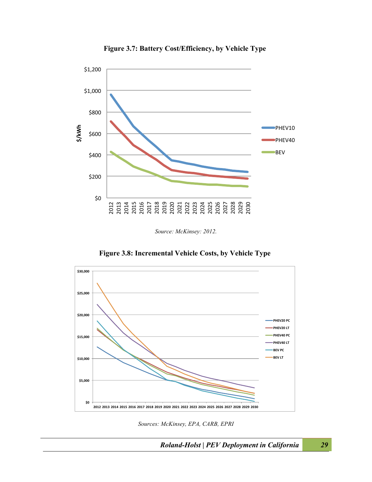

**Figure 3.7: Battery Cost/Efficiency, by Vehicle Type**

*Source: McKinsey: 2012.*





*Sources: McKinsey, EPA, CARB, EPRI*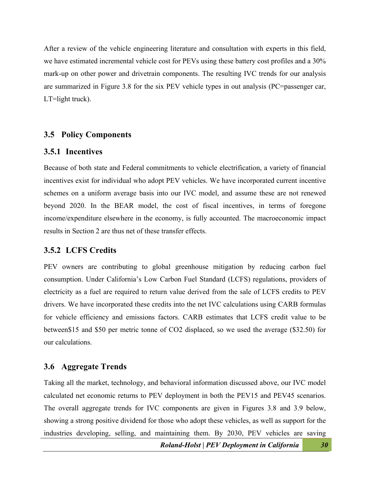After a review of the vehicle engineering literature and consultation with experts in this field, we have estimated incremental vehicle cost for PEVs using these battery cost profiles and a 30% mark-up on other power and drivetrain components. The resulting IVC trends for our analysis are summarized in Figure 3.8 for the six PEV vehicle types in out analysis (PC=passenger car, LT=light truck).

#### **3.5 Policy Components**

#### **3.5.1 Incentives**

Because of both state and Federal commitments to vehicle electrification, a variety of financial incentives exist for individual who adopt PEV vehicles. We have incorporated current incentive schemes on a uniform average basis into our IVC model, and assume these are not renewed beyond 2020. In the BEAR model, the cost of fiscal incentives, in terms of foregone income/expenditure elsewhere in the economy, is fully accounted. The macroeconomic impact results in Section 2 are thus net of these transfer effects.

#### **3.5.2 LCFS Credits**

PEV owners are contributing to global greenhouse mitigation by reducing carbon fuel consumption. Under California's Low Carbon Fuel Standard (LCFS) regulations, providers of electricity as a fuel are required to return value derived from the sale of LCFS credits to PEV drivers. We have incorporated these credits into the net IVC calculations using CARB formulas for vehicle efficiency and emissions factors. CARB estimates that LCFS credit value to be between\$15 and \$50 per metric tonne of CO2 displaced, so we used the average (\$32.50) for our calculations.

#### **3.6 Aggregate Trends**

Taking all the market, technology, and behavioral information discussed above, our IVC model calculated net economic returns to PEV deployment in both the PEV15 and PEV45 scenarios. The overall aggregate trends for IVC components are given in Figures 3.8 and 3.9 below, showing a strong positive dividend for those who adopt these vehicles, as well as support for the industries developing, selling, and maintaining them. By 2030, PEV vehicles are saving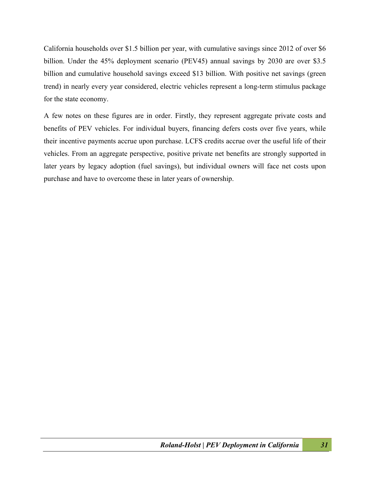California households over \$1.5 billion per year, with cumulative savings since 2012 of over \$6 billion. Under the 45% deployment scenario (PEV45) annual savings by 2030 are over \$3.5 billion and cumulative household savings exceed \$13 billion. With positive net savings (green trend) in nearly every year considered, electric vehicles represent a long-term stimulus package for the state economy.

A few notes on these figures are in order. Firstly, they represent aggregate private costs and benefits of PEV vehicles. For individual buyers, financing defers costs over five years, while their incentive payments accrue upon purchase. LCFS credits accrue over the useful life of their vehicles. From an aggregate perspective, positive private net benefits are strongly supported in later years by legacy adoption (fuel savings), but individual owners will face net costs upon purchase and have to overcome these in later years of ownership.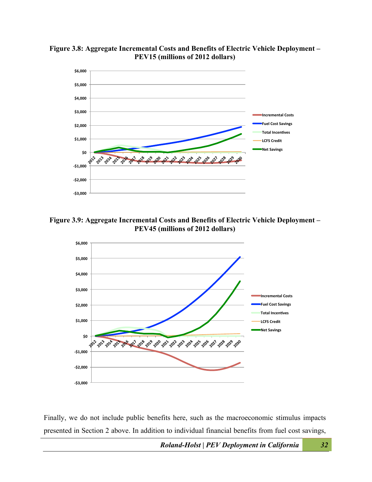

**Figure 3.8: Aggregate Incremental Costs and Benefits of Electric Vehicle Deployment – PEV15 (millions of 2012 dollars)**

**Figure 3.9: Aggregate Incremental Costs and Benefits of Electric Vehicle Deployment – PEV45 (millions of 2012 dollars)**



Finally, we do not include public benefits here, such as the macroeconomic stimulus impacts presented in Section 2 above. In addition to individual financial benefits from fuel cost savings,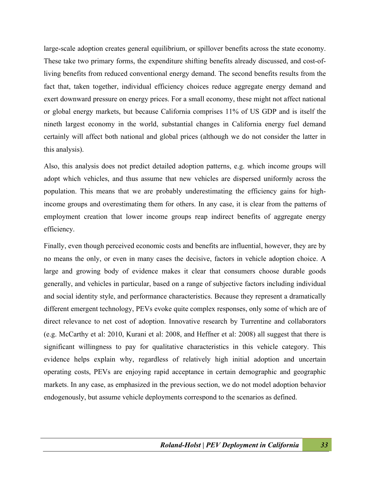large-scale adoption creates general equilibrium, or spillover benefits across the state economy. These take two primary forms, the expenditure shifting benefits already discussed, and cost-ofliving benefits from reduced conventional energy demand. The second benefits results from the fact that, taken together, individual efficiency choices reduce aggregate energy demand and exert downward pressure on energy prices. For a small economy, these might not affect national or global energy markets, but because California comprises 11% of US GDP and is itself the nineth largest economy in the world, substantial changes in California energy fuel demand certainly will affect both national and global prices (although we do not consider the latter in this analysis).

Also, this analysis does not predict detailed adoption patterns, e.g. which income groups will adopt which vehicles, and thus assume that new vehicles are dispersed uniformly across the population. This means that we are probably underestimating the efficiency gains for highincome groups and overestimating them for others. In any case, it is clear from the patterns of employment creation that lower income groups reap indirect benefits of aggregate energy efficiency.

Finally, even though perceived economic costs and benefits are influential, however, they are by no means the only, or even in many cases the decisive, factors in vehicle adoption choice. A large and growing body of evidence makes it clear that consumers choose durable goods generally, and vehicles in particular, based on a range of subjective factors including individual and social identity style, and performance characteristics. Because they represent a dramatically different emergent technology, PEVs evoke quite complex responses, only some of which are of direct relevance to net cost of adoption. Innovative research by Turrentine and collaborators (e.g. McCarthy et al: 2010, Kurani et al: 2008, and Heffner et al: 2008) all suggest that there is significant willingness to pay for qualitative characteristics in this vehicle category. This evidence helps explain why, regardless of relatively high initial adoption and uncertain operating costs, PEVs are enjoying rapid acceptance in certain demographic and geographic markets. In any case, as emphasized in the previous section, we do not model adoption behavior endogenously, but assume vehicle deployments correspond to the scenarios as defined.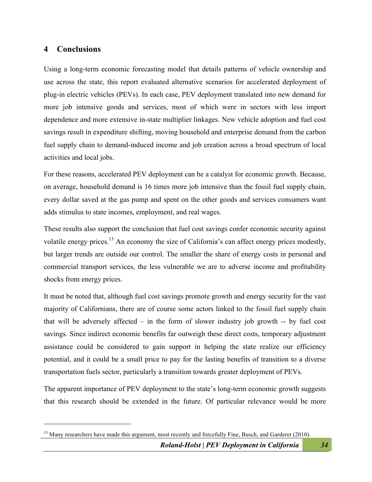#### **4 Conclusions**

 $\overline{a}$ 

Using a long-term economic forecasting model that details patterns of vehicle ownership and use across the state, this report evaluated alternative scenarios for accelerated deployment of plug-in electric vehicles (PEVs). In each case, PEV deployment translated into new demand for more job intensive goods and services, most of which were in sectors with less import dependence and more extensive in-state multiplier linkages. New vehicle adoption and fuel cost savings result in expenditure shifting, moving household and enterprise demand from the carbon fuel supply chain to demand-induced income and job creation across a broad spectrum of local activities and local jobs.

For these reasons, accelerated PEV deployment can be a catalyst for economic growth. Because, on average, household demand is 16 times more job intensive than the fossil fuel supply chain, every dollar saved at the gas pump and spent on the other goods and services consumers want adds stimulus to state incomes, employment, and real wages.

These results also support the conclusion that fuel cost savings confer economic security against volatile energy prices.<sup>13</sup> An economy the size of California's can affect energy prices modestly, but larger trends are outside our control. The smaller the share of energy costs in personal and commercial transport services, the less vulnerable we are to adverse income and profitability shocks from energy prices.

It must be noted that, although fuel cost savings promote growth and energy security for the vast majority of Californians, there are of course some actors linked to the fossil fuel supply chain that will be adversely affected – in the form of slower industry job growth -- by fuel cost savings. Since indirect economic benefits far outweigh these direct costs, temporary adjustment assistance could be considered to gain support in helping the state realize our efficiency potential, and it could be a small price to pay for the lasting benefits of transition to a diverse transportation fuels sector, particularly a transition towards greater deployment of PEVs.

The apparent importance of PEV deployment to the state's long-term economic growth suggests that this research should be extended in the future. Of particular relevance would be more

<sup>&</sup>lt;sup>13</sup> Many researchers have made this argument, most recently and forcefully Fine, Busch, and Garderet (2010).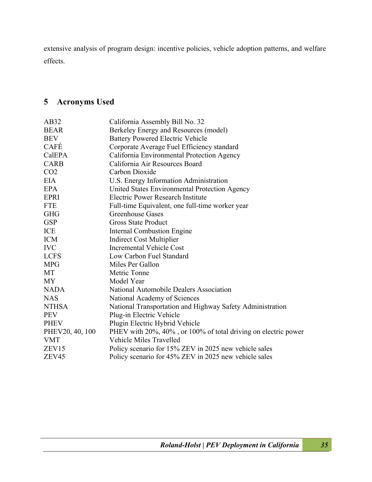extensive analysis of program design: incentive policies, vehicle adoption patterns, and welfare effects.

#### **5 Acronyms Used**

| AB32            | California Assembly Bill No. 32                                |
|-----------------|----------------------------------------------------------------|
| <b>BEAR</b>     | Berkeley Energy and Resources (model)                          |
| <b>BEV</b>      | <b>Battery Powered Electric Vehicle</b>                        |
| <b>CAFÉ</b>     | Corporate Average Fuel Efficiency standard                     |
| CalEPA          | California Environmental Protection Agency                     |
| <b>CARB</b>     | California Air Resources Board                                 |
| CO <sub>2</sub> | Carbon Dioxide                                                 |
| <b>EIA</b>      | U.S. Energy Information Administration                         |
| <b>EPA</b>      | United States Environmental Protection Agency                  |
| <b>EPRI</b>     | Electric Power Research Institute                              |
| <b>FTE</b>      | Full-time Equivalent, one full-time worker year                |
| <b>GHG</b>      | Greenhouse Gases                                               |
| <b>GSP</b>      | <b>Gross State Product</b>                                     |
| ICE             | Internal Combustion Engine                                     |
| <b>ICM</b>      | <b>Indirect Cost Multiplier</b>                                |
| <b>IVC</b>      | <b>Incremental Vehicle Cost</b>                                |
| <b>LCFS</b>     | Low Carbon Fuel Standard                                       |
| <b>MPG</b>      | Miles Per Gallon                                               |
| MT              | Metric Tonne                                                   |
| <b>MY</b>       | Model Year                                                     |
| <b>NADA</b>     | National Automobile Dealers Association                        |
| <b>NAS</b>      | National Academy of Sciences                                   |
| <b>NTHSA</b>    | National Transportation and Highway Safety Administration      |
| <b>PEV</b>      | Plug-in Electric Vehicle                                       |
| <b>PHEV</b>     | Plugin Electric Hybrid Vehicle                                 |
| PHEV20, 40, 100 | PHEV with 20%, 40%, or 100% of total driving on electric power |
| <b>VMT</b>      | <b>Vehicle Miles Travelled</b>                                 |
| ZEV15           | Policy scenario for 15% ZEV in 2025 new vehicle sales          |
| ZEV45           | Policy scenario for 45% ZEV in 2025 new vehicle sales          |
|                 |                                                                |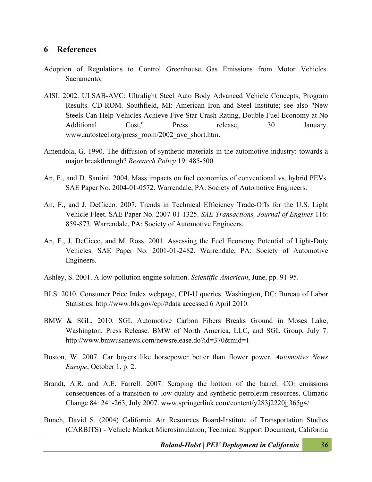#### **6 References**

- Adoption of Regulations to Control Greenhouse Gas Emissions from Motor Vehicles. Sacramento,
- AISI. 2002. ULSAB-AVC: Ultralight Steel Auto Body Advanced Vehicle Concepts, Program Results. CD-ROM. Southfield, MI: American Iron and Steel Institute; see also "New Steels Can Help Vehicles Achieve Five-Star Crash Rating, Double Fuel Economy at No Additional Cost," Press release, 30 January. www.autosteel.org/press\_room/2002\_avc\_short.htm.
- Amendola, G. 1990. The diffusion of synthetic materials in the automotive industry: towards a major breakthrough? *Research Policy* 19: 485-500.
- An, F., and D. Santini. 2004. Mass impacts on fuel economies of conventional vs. hybrid PEVs. SAE Paper No. 2004-01-0572. Warrendale, PA: Society of Automotive Engineers.
- An, F., and J. DeCicco. 2007. Trends in Technical Efficiency Trade-Offs for the U.S. Light Vehicle Fleet. SAE Paper No. 2007-01-1325. *SAE Transactions, Journal of Engines* 116: 859-873. Warrendale, PA: Society of Automotive Engineers.
- An, F., J. DeCicco, and M. Ross. 2001. Assessing the Fuel Economy Potential of Light-Duty Vehicles. SAE Paper No. 2001-01-2482. Warrendale, PA: Society of Automotive Engineers.
- Ashley, S. 2001. A low-pollution engine solution. *Scientific American*, June, pp. 91-95.
- BLS. 2010. Consumer Price Index webpage, CPI-U queries. Washington, DC: Bureau of Labor Statistics. http://www.bls.gov/cpi/#data accessed 6 April 2010.
- BMW & SGL. 2010. SGL Automotive Carbon Fibers Breaks Ground in Moses Lake, Washington. Press Release. BMW of North America, LLC, and SGL Group, July 7. http://www.bmwusanews.com/newsrelease.do?id=370&mid=1
- Boston, W. 2007. Car buyers like horsepower better than flower power. *Automotive News Europe*, October 1, p. 2.
- Brandt, A.R. and A.E. Farrell. 2007. Scraping the bottom of the barrel:  $CO<sub>2</sub>$  emissions consequences of a transition to low-quality and synthetic petroleum resources. Climatic Change 84: 241-263, July 2007. www.springerlink.com/content/y283j2220jj365g4/
- Bunch, David S. (2004) California Air Resources Board-Institute of Transportation Studies (CARBITS) - Vehicle Market Microsimulation, Technical Support Document, California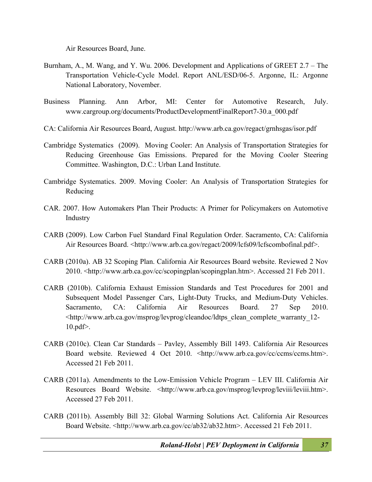Air Resources Board, June.

- Burnham, A., M. Wang, and Y. Wu. 2006. Development and Applications of GREET 2.7 The Transportation Vehicle-Cycle Model. Report ANL/ESD/06-5. Argonne, IL: Argonne National Laboratory, November.
- Business Planning. Ann Arbor, MI: Center for Automotive Research, July. www.cargroup.org/documents/ProductDevelopmentFinalReport7-30.a\_000.pdf
- CA: California Air Resources Board, August. http://www.arb.ca.gov/regact/grnhsgas/isor.pdf
- Cambridge Systematics (2009). Moving Cooler: An Analysis of Transportation Strategies for Reducing Greenhouse Gas Emissions. Prepared for the Moving Cooler Steering Committee. Washington, D.C.: Urban Land Institute.
- Cambridge Systematics. 2009. Moving Cooler: An Analysis of Transportation Strategies for Reducing
- CAR. 2007. How Automakers Plan Their Products: A Primer for Policymakers on Automotive Industry
- CARB (2009). Low Carbon Fuel Standard Final Regulation Order. Sacramento, CA: California Air Resources Board. <http://www.arb.ca.gov/regact/2009/lcfs09/lcfscombofinal.pdf>.
- CARB (2010a). AB 32 Scoping Plan. California Air Resources Board website. Reviewed 2 Nov 2010. <http://www.arb.ca.gov/cc/scopingplan/scopingplan.htm>. Accessed 21 Feb 2011.
- CARB (2010b). California Exhaust Emission Standards and Test Procedures for 2001 and Subsequent Model Passenger Cars, Light-Duty Trucks, and Medium-Duty Vehicles. Sacramento, CA: California Air Resources Board. 27 Sep 2010. <http://www.arb.ca.gov/msprog/levprog/cleandoc/ldtps\_clean\_complete\_warranty\_12- 10.pdf>.
- CARB (2010c). Clean Car Standards Pavley, Assembly Bill 1493. California Air Resources Board website. Reviewed 4 Oct 2010. <http://www.arb.ca.gov/cc/ccms/ccms.htm>. Accessed 21 Feb 2011.
- CARB (2011a). Amendments to the Low-Emission Vehicle Program LEV III. California Air Resources Board Website. <http://www.arb.ca.gov/msprog/levprog/leviii/leviii.htm>. Accessed 27 Feb 2011.
- CARB (2011b). Assembly Bill 32: Global Warming Solutions Act. California Air Resources Board Website. <http://www.arb.ca.gov/cc/ab32/ab32.htm>. Accessed 21 Feb 2011.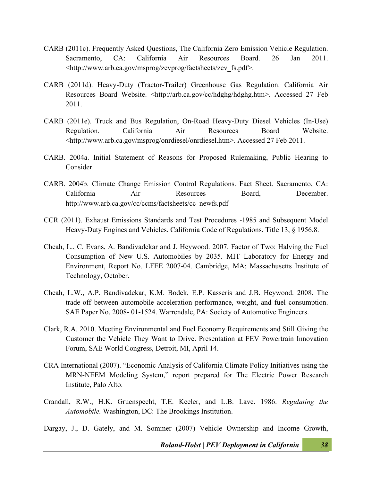- CARB (2011c). Frequently Asked Questions, The California Zero Emission Vehicle Regulation. Sacramento, CA: California Air Resources Board. 26 Jan 2011. <http://www.arb.ca.gov/msprog/zevprog/factsheets/zev\_fs.pdf>.
- CARB (2011d). Heavy-Duty (Tractor-Trailer) Greenhouse Gas Regulation. California Air Resources Board Website. <http://arb.ca.gov/cc/hdghg/hdghg.htm>. Accessed 27 Feb 2011.
- CARB (2011e). Truck and Bus Regulation, On-Road Heavy-Duty Diesel Vehicles (In-Use) Regulation. California Air Resources Board Website. <http://www.arb.ca.gov/msprog/onrdiesel/onrdiesel.htm>. Accessed 27 Feb 2011.
- CARB. 2004a. Initial Statement of Reasons for Proposed Rulemaking, Public Hearing to Consider
- CARB. 2004b. Climate Change Emission Control Regulations. Fact Sheet. Sacramento, CA: California Air Resources Board, December. http://www.arb.ca.gov/cc/ccms/factsheets/cc\_newfs.pdf
- CCR (2011). Exhaust Emissions Standards and Test Procedures -1985 and Subsequent Model Heavy-Duty Engines and Vehicles. California Code of Regulations. Title 13, § 1956.8.
- Cheah, L., C. Evans, A. Bandivadekar and J. Heywood. 2007. Factor of Two: Halving the Fuel Consumption of New U.S. Automobiles by 2035. MIT Laboratory for Energy and Environment, Report No. LFEE 2007-04. Cambridge, MA: Massachusetts Institute of Technology, October.
- Cheah, L.W., A.P. Bandivadekar, K.M. Bodek, E.P. Kasseris and J.B. Heywood. 2008. The trade-off between automobile acceleration performance, weight, and fuel consumption. SAE Paper No. 2008- 01-1524. Warrendale, PA: Society of Automotive Engineers.
- Clark, R.A. 2010. Meeting Environmental and Fuel Economy Requirements and Still Giving the Customer the Vehicle They Want to Drive. Presentation at FEV Powertrain Innovation Forum, SAE World Congress, Detroit, MI, April 14.
- CRA International (2007). "Economic Analysis of California Climate Policy Initiatives using the MRN-NEEM Modeling System," report prepared for The Electric Power Research Institute, Palo Alto.
- Crandall, R.W., H.K. Gruenspecht, T.E. Keeler, and L.B. Lave. 1986. *Regulating the Automobile.* Washington, DC: The Brookings Institution.

Dargay, J., D. Gately, and M. Sommer (2007) Vehicle Ownership and Income Growth,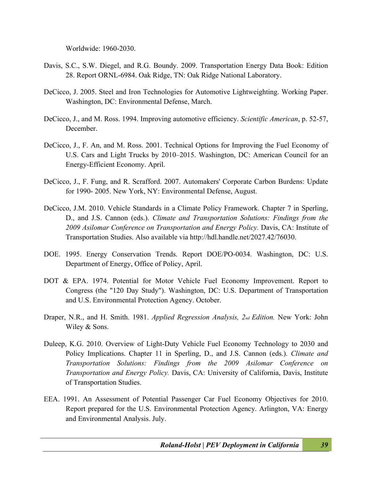Worldwide: 1960-2030.

- Davis, S.C., S.W. Diegel, and R.G. Boundy. 2009. Transportation Energy Data Book: Edition 28. Report ORNL-6984. Oak Ridge, TN: Oak Ridge National Laboratory.
- DeCicco, J. 2005. Steel and Iron Technologies for Automotive Lightweighting. Working Paper. Washington, DC: Environmental Defense, March.
- DeCicco, J., and M. Ross. 1994. Improving automotive efficiency. *Scientific American*, p. 52-57, December.
- DeCicco, J., F. An, and M. Ross. 2001. Technical Options for Improving the Fuel Economy of U.S. Cars and Light Trucks by 2010–2015. Washington, DC: American Council for an Energy-Efficient Economy. April.
- DeCicco, J., F. Fung, and R. Scrafford. 2007. Automakers' Corporate Carbon Burdens: Update for 1990- 2005. New York, NY: Environmental Defense, August.
- DeCicco, J.M. 2010. Vehicle Standards in a Climate Policy Framework. Chapter 7 in Sperling, D., and J.S. Cannon (eds.). *Climate and Transportation Solutions: Findings from the 2009 Asilomar Conference on Transportation and Energy Policy.* Davis, CA: Institute of Transportation Studies. Also available via http://hdl.handle.net/2027.42/76030.
- DOE. 1995. Energy Conservation Trends. Report DOE/PO-0034. Washington, DC: U.S. Department of Energy, Office of Policy, April.
- DOT & EPA. 1974. Potential for Motor Vehicle Fuel Economy Improvement. Report to Congress (the "120 Day Study"). Washington, DC: U.S. Department of Transportation and U.S. Environmental Protection Agency. October.
- Draper, N.R., and H. Smith. 1981. *Applied Regression Analysis, 2nd Edition.* New York: John Wiley & Sons.
- Duleep, K.G. 2010. Overview of Light-Duty Vehicle Fuel Economy Technology to 2030 and Policy Implications. Chapter 11 in Sperling, D., and J.S. Cannon (eds.). *Climate and Transportation Solutions: Findings from the 2009 Asilomar Conference on Transportation and Energy Policy.* Davis, CA: University of California, Davis, Institute of Transportation Studies.
- EEA. 1991. An Assessment of Potential Passenger Car Fuel Economy Objectives for 2010. Report prepared for the U.S. Environmental Protection Agency. Arlington, VA: Energy and Environmental Analysis. July.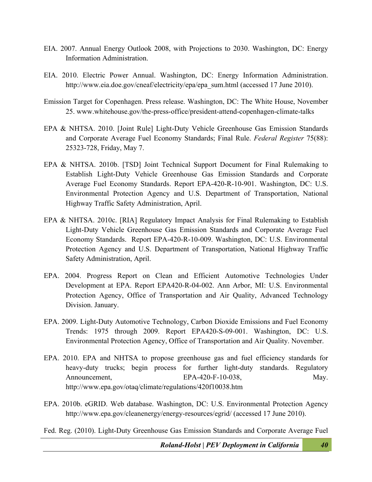- EIA. 2007. Annual Energy Outlook 2008, with Projections to 2030. Washington, DC: Energy Information Administration.
- EIA. 2010. Electric Power Annual. Washington, DC: Energy Information Administration. http://www.eia.doe.gov/cneaf/electricity/epa/epa\_sum.html (accessed 17 June 2010).
- Emission Target for Copenhagen. Press release. Washington, DC: The White House, November 25. www.whitehouse.gov/the-press-office/president-attend-copenhagen-climate-talks
- EPA & NHTSA. 2010. [Joint Rule] Light-Duty Vehicle Greenhouse Gas Emission Standards and Corporate Average Fuel Economy Standards; Final Rule. *Federal Register* 75(88): 25323-728, Friday, May 7.
- EPA & NHTSA. 2010b. [TSD] Joint Technical Support Document for Final Rulemaking to Establish Light-Duty Vehicle Greenhouse Gas Emission Standards and Corporate Average Fuel Economy Standards. Report EPA-420-R-10-901. Washington, DC: U.S. Environmental Protection Agency and U.S. Department of Transportation, National Highway Traffic Safety Administration, April.
- EPA & NHTSA. 2010c. [RIA] Regulatory Impact Analysis for Final Rulemaking to Establish Light-Duty Vehicle Greenhouse Gas Emission Standards and Corporate Average Fuel Economy Standards. Report EPA-420-R-10-009. Washington, DC: U.S. Environmental Protection Agency and U.S. Department of Transportation, National Highway Traffic Safety Administration, April.
- EPA. 2004. Progress Report on Clean and Efficient Automotive Technologies Under Development at EPA. Report EPA420-R-04-002. Ann Arbor, MI: U.S. Environmental Protection Agency, Office of Transportation and Air Quality, Advanced Technology Division. January.
- EPA. 2009. Light-Duty Automotive Technology, Carbon Dioxide Emissions and Fuel Economy Trends: 1975 through 2009. Report EPA420-S-09-001. Washington, DC: U.S. Environmental Protection Agency, Office of Transportation and Air Quality. November.
- EPA. 2010. EPA and NHTSA to propose greenhouse gas and fuel efficiency standards for heavy-duty trucks; begin process for further light-duty standards. Regulatory Announcement, EPA-420-F-10-038, May. http://www.epa.gov/otaq/climate/regulations/420f10038.htm
- EPA. 2010b. eGRID. Web database. Washington, DC: U.S. Environmental Protection Agency http://www.epa.gov/cleanenergy/energy-resources/egrid/ (accessed 17 June 2010).

Fed. Reg. (2010). Light-Duty Greenhouse Gas Emission Standards and Corporate Average Fuel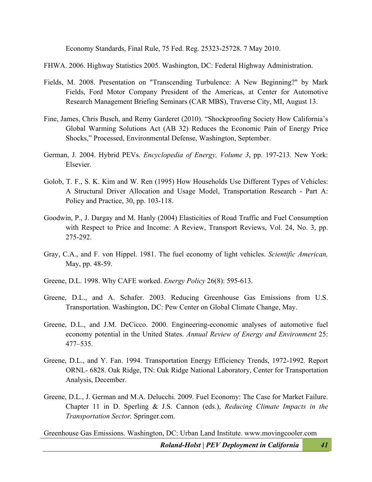Economy Standards, Final Rule, 75 Fed. Reg. 25323-25728. 7 May 2010.

FHWA. 2006. Highway Statistics 2005. Washington, DC: Federal Highway Administration.

- Fields, M. 2008. Presentation on "Transcending Turbulence: A New Beginning?" by Mark Fields, Ford Motor Company President of the Americas, at Center for Automotive Research Management Briefing Seminars (CAR MBS), Traverse City, MI, August 13.
- Fine, James, Chris Busch, and Remy Garderet (2010). "Shockproofing Society How California's Global Warming Solutions Act (AB 32) Reduces the Economic Pain of Energy Price Shocks," Processed, Environmental Defense, Washington, September.
- German, J. 2004. Hybrid PEVs. *Encyclopedia of Energy, Volume 3*, pp. 197-213*.* New York: Elsevier.
- Golob, T. F., S. K. Kim and W. Ren (1995) How Households Use Different Types of Vehicles: A Structural Driver Allocation and Usage Model, Transportation Research - Part A: Policy and Practice, 30, pp. 103-118.
- Goodwin, P., J. Dargay and M. Hanly (2004) Elasticities of Road Traffic and Fuel Consumption with Respect to Price and Income: A Review, Transport Reviews, Vol. 24, No. 3, pp. 275-292.
- Gray, C.A., and F. von Hippel. 1981. The fuel economy of light vehicles. *Scientific American,*  May, pp. 48-59.
- Greene, D.L. 1998. Why CAFE worked. *Energy Policy* 26(8): 595-613.
- Greene, D.L., and A. Schafer. 2003. Reducing Greenhouse Gas Emissions from U.S. Transportation. Washington, DC: Pew Center on Global Climate Change, May.
- Greene, D.L., and J.M. DeCicco. 2000. Engineering-economic analyses of automotive fuel economy potential in the United States. *Annual Review of Energy and Environment* 25: 477–535.
- Greene, D.L., and Y. Fan. 1994. Transportation Energy Efficiency Trends, 1972-1992. Report ORNL- 6828. Oak Ridge, TN: Oak Ridge National Laboratory, Center for Transportation Analysis, December.
- Greene, D.L., J. German and M.A. Delucchi. 2009. Fuel Economy: The Case for Market Failure. Chapter 11 in D. Sperling & J.S. Cannon (eds.), *Reducing Climate Impacts in the Transportation Sector.* Springer.com.

Greenhouse Gas Emissions. Washington, DC: Urban Land Institute. www.movingcooler.com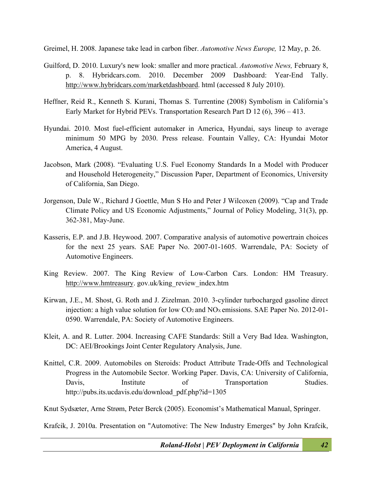Greimel, H. 2008. Japanese take lead in carbon fiber. *Automotive News Europe,* 12 May, p. 26.

- Guilford, D. 2010. Luxury's new look: smaller and more practical. *Automotive News,* February 8, p. 8. Hybridcars.com. 2010. December 2009 Dashboard: Year-End Tally. http://www.hybridcars.com/marketdashboard. html (accessed 8 July 2010).
- Heffner, Reid R., Kenneth S. Kurani, Thomas S. Turrentine (2008) Symbolism in California's Early Market for Hybrid PEVs. Transportation Research Part D 12 (6), 396 – 413.
- Hyundai. 2010. Most fuel-efficient automaker in America, Hyundai, says lineup to average minimum 50 MPG by 2030. Press release. Fountain Valley, CA: Hyundai Motor America, 4 August.
- Jacobson, Mark (2008). "Evaluating U.S. Fuel Economy Standards In a Model with Producer and Household Heterogeneity," Discussion Paper, Department of Economics, University of California, San Diego.
- Jorgenson, Dale W., Richard J Goettle, Mun S Ho and Peter J Wilcoxen (2009). "Cap and Trade Climate Policy and US Economic Adjustments," Journal of Policy Modeling, 31(3), pp. 362-381, May-June.
- Kasseris, E.P. and J.B. Heywood. 2007. Comparative analysis of automotive powertrain choices for the next 25 years. SAE Paper No. 2007-01-1605. Warrendale, PA: Society of Automotive Engineers.
- King Review. 2007. The King Review of Low-Carbon Cars. London: HM Treasury. http://www.hmtreasury. gov.uk/king\_review\_index.htm
- Kirwan, J.E., M. Shost, G. Roth and J. Zizelman. 2010. 3-cylinder turbocharged gasoline direct injection: a high value solution for low  $CO<sub>2</sub>$  and  $NO<sub>x</sub>$  emissions. SAE Paper No. 2012-01-0590. Warrendale, PA: Society of Automotive Engineers.
- Kleit, A. and R. Lutter. 2004. Increasing CAFE Standards: Still a Very Bad Idea. Washington, DC: AEI/Brookings Joint Center Regulatory Analysis, June.
- Knittel, C.R. 2009. Automobiles on Steroids: Product Attribute Trade-Offs and Technological Progress in the Automobile Sector. Working Paper. Davis, CA: University of California, Davis, Institute of Transportation Studies. http://pubs.its.ucdavis.edu/download\_pdf.php?id=1305

Knut Sydsæter, Arne Strøm, Peter Berck (2005). Economist's Mathematical Manual, Springer.

Krafcik, J. 2010a. Presentation on "Automotive: The New Industry Emerges" by John Krafcik,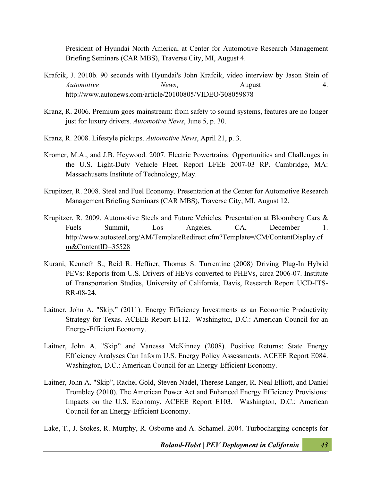President of Hyundai North America, at Center for Automotive Research Management Briefing Seminars (CAR MBS), Traverse City, MI, August 4.

- Krafcik, J. 2010b. 90 seconds with Hyundai's John Krafcik, video interview by Jason Stein of *Automotive News*, *August* 4. http://www.autonews.com/article/20100805/VIDEO/308059878
- Kranz, R. 2006. Premium goes mainstream: from safety to sound systems, features are no longer just for luxury drivers. *Automotive News*, June 5, p. 30.
- Kranz, R. 2008. Lifestyle pickups. *Automotive News*, April 21, p. 3.
- Kromer, M.A., and J.B. Heywood. 2007. Electric Powertrains: Opportunities and Challenges in the U.S. Light-Duty Vehicle Fleet. Report LFEE 2007-03 RP. Cambridge, MA: Massachusetts Institute of Technology, May.
- Krupitzer, R. 2008. Steel and Fuel Economy. Presentation at the Center for Automotive Research Management Briefing Seminars (CAR MBS), Traverse City, MI, August 12.
- Krupitzer, R. 2009. Automotive Steels and Future Vehicles. Presentation at Bloomberg Cars & Fuels Summit, Los Angeles, CA, December 1. http://www.autosteel.org/AM/TemplateRedirect.cfm?Template=/CM/ContentDisplay.cf m&ContentID=35528
- Kurani, Kenneth S., Reid R. Heffner, Thomas S. Turrentine (2008) Driving Plug-In Hybrid PEVs: Reports from U.S. Drivers of HEVs converted to PHEVs, circa 2006-07. Institute of Transportation Studies, University of California, Davis, Research Report UCD-ITS-RR-08-24.
- Laitner, John A. "Skip." (2011). Energy Efficiency Investments as an Economic Productivity Strategy for Texas. ACEEE Report E112. Washington, D.C.: American Council for an Energy-Efficient Economy.
- Laitner, John A. "Skip" and Vanessa McKinney (2008). Positive Returns: State Energy Efficiency Analyses Can Inform U.S. Energy Policy Assessments. ACEEE Report E084. Washington, D.C.: American Council for an Energy-Efficient Economy.
- Laitner, John A. "Skip", Rachel Gold, Steven Nadel, Therese Langer, R. Neal Elliott, and Daniel Trombley (2010). The American Power Act and Enhanced Energy Efficiency Provisions: Impacts on the U.S. Economy. ACEEE Report E103. Washington, D.C.: American Council for an Energy-Efficient Economy.

Lake, T., J. Stokes, R. Murphy, R. Osborne and A. Schamel. 2004. Turbocharging concepts for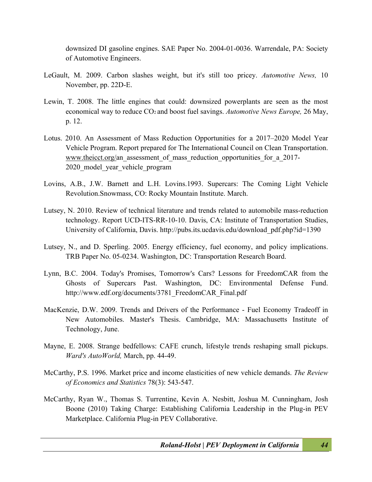downsized DI gasoline engines. SAE Paper No. 2004-01-0036. Warrendale, PA: Society of Automotive Engineers.

- LeGault, M. 2009. Carbon slashes weight, but it's still too pricey. *Automotive News,* 10 November, pp. 22D-E.
- Lewin, T. 2008. The little engines that could: downsized powerplants are seen as the most economical way to reduce CO2 and boost fuel savings. *Automotive News Europe,* 26 May, p. 12.
- Lotus. 2010. An Assessment of Mass Reduction Opportunities for a 2017–2020 Model Year Vehicle Program. Report prepared for The International Council on Clean Transportation. www.theicct.org/an\_assessment\_of\_mass\_reduction\_opportunities\_for\_a\_2017-2020\_model\_year\_vehicle\_program
- Lovins, A.B., J.W. Barnett and L.H. Lovins.1993. Supercars: The Coming Light Vehicle Revolution.Snowmass, CO: Rocky Mountain Institute. March.
- Lutsey, N. 2010. Review of technical literature and trends related to automobile mass-reduction technology. Report UCD-ITS-RR-10-10. Davis, CA: Institute of Transportation Studies, University of California, Davis. http://pubs.its.ucdavis.edu/download\_pdf.php?id=1390
- Lutsey, N., and D. Sperling. 2005. Energy efficiency, fuel economy, and policy implications. TRB Paper No. 05-0234. Washington, DC: Transportation Research Board.
- Lynn, B.C. 2004. Today's Promises, Tomorrow's Cars? Lessons for FreedomCAR from the Ghosts of Supercars Past. Washington, DC: Environmental Defense Fund. http://www.edf.org/documents/3781 FreedomCAR Final.pdf
- MacKenzie, D.W. 2009. Trends and Drivers of the Performance Fuel Economy Tradeoff in New Automobiles. Master's Thesis. Cambridge, MA: Massachusetts Institute of Technology, June.
- Mayne, E. 2008. Strange bedfellows: CAFE crunch, lifestyle trends reshaping small pickups. *Ward's AutoWorld,* March, pp. 44-49.
- McCarthy, P.S. 1996. Market price and income elasticities of new vehicle demands. *The Review of Economics and Statistics* 78(3): 543-547.
- McCarthy, Ryan W., Thomas S. Turrentine, Kevin A. Nesbitt, Joshua M. Cunningham, Josh Boone (2010) Taking Charge: Establishing California Leadership in the Plug-in PEV Marketplace. California Plug-in PEV Collaborative.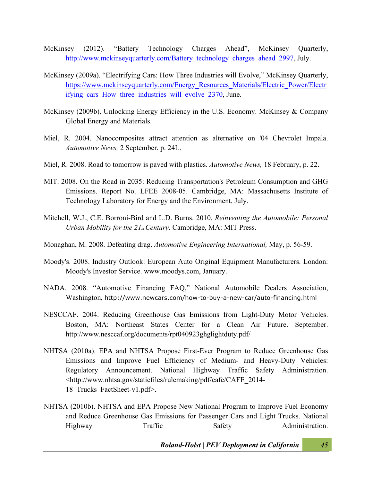- McKinsey (2012). "Battery Technology Charges Ahead", McKinsey Quarterly, http://www.mckinseyquarterly.com/Battery\_technology\_charges\_ahead\_2997, July.
- McKinsey (2009a). "Electrifying Cars: How Three Industries will Evolve," McKinsey Quarterly, https://www.mckinseyquarterly.com/Energy\_Resources\_Materials/Electric\_Power/Electr ifying cars How three industries will evolve 2370, June.
- McKinsey (2009b). Unlocking Energy Efficiency in the U.S. Economy. McKinsey & Company Global Energy and Materials.
- Miel, R. 2004. Nanocomposites attract attention as alternative on '04 Chevrolet Impala. *Automotive News,* 2 September, p. 24L.
- Miel, R. 2008. Road to tomorrow is paved with plastics. *Automotive News,* 18 February, p. 22.
- MIT. 2008. On the Road in 2035: Reducing Transportation's Petroleum Consumption and GHG Emissions. Report No. LFEE 2008-05. Cambridge, MA: Massachusetts Institute of Technology Laboratory for Energy and the Environment, July.
- Mitchell, W.J., C.E. Borroni-Bird and L.D. Burns. 2010. *Reinventing the Automobile: Personal Urban Mobility for the 21st Century.* Cambridge, MA: MIT Press.
- Monaghan, M. 2008. Defeating drag. *Automotive Engineering International,* May, p. 56-59.
- Moody's. 2008. Industry Outlook: European Auto Original Equipment Manufacturers. London: Moody's Investor Service. www.moodys.com, January.
- NADA. 2008. "Automotive Financing FAQ," National Automobile Dealers Association, Washington, http://www.newcars.com/how-to-buy-a-new-car/auto-financing.html
- NESCCAF. 2004. Reducing Greenhouse Gas Emissions from Light-Duty Motor Vehicles. Boston, MA: Northeast States Center for a Clean Air Future. September. http://www.nesccaf.org/documents/rpt040923ghglightduty.pdf/
- NHTSA (2010a). EPA and NHTSA Propose First-Ever Program to Reduce Greenhouse Gas Emissions and Improve Fuel Efficiency of Medium- and Heavy-Duty Vehicles: Regulatory Announcement. National Highway Traffic Safety Administration. <http://www.nhtsa.gov/staticfiles/rulemaking/pdf/cafe/CAFE\_2014- 18\_Trucks\_FactSheet-v1.pdf>.
- NHTSA (2010b). NHTSA and EPA Propose New National Program to Improve Fuel Economy and Reduce Greenhouse Gas Emissions for Passenger Cars and Light Trucks. National Highway Traffic Safety Administration.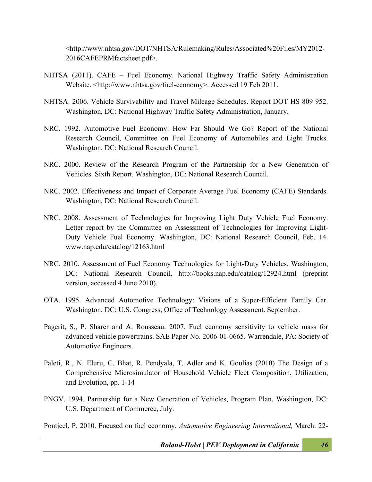<http://www.nhtsa.gov/DOT/NHTSA/Rulemaking/Rules/Associated%20Files/MY2012- 2016CAFEPRMfactsheet.pdf>.

- NHTSA (2011). CAFE Fuel Economy. National Highway Traffic Safety Administration Website. <http://www.nhtsa.gov/fuel-economy>. Accessed 19 Feb 2011.
- NHTSA. 2006. Vehicle Survivability and Travel Mileage Schedules. Report DOT HS 809 952. Washington, DC: National Highway Traffic Safety Administration, January.
- NRC. 1992. Automotive Fuel Economy: How Far Should We Go? Report of the National Research Council, Committee on Fuel Economy of Automobiles and Light Trucks. Washington, DC: National Research Council.
- NRC. 2000. Review of the Research Program of the Partnership for a New Generation of Vehicles. Sixth Report. Washington, DC: National Research Council.
- NRC. 2002. Effectiveness and Impact of Corporate Average Fuel Economy (CAFE) Standards. Washington, DC: National Research Council.
- NRC. 2008. Assessment of Technologies for Improving Light Duty Vehicle Fuel Economy. Letter report by the Committee on Assessment of Technologies for Improving Light-Duty Vehicle Fuel Economy. Washington, DC: National Research Council, Feb. 14. www.nap.edu/catalog/12163.html
- NRC. 2010. Assessment of Fuel Economy Technologies for Light-Duty Vehicles. Washington, DC: National Research Council. http://books.nap.edu/catalog/12924.html (preprint version, accessed 4 June 2010).
- OTA. 1995. Advanced Automotive Technology: Visions of a Super-Efficient Family Car. Washington, DC: U.S. Congress, Office of Technology Assessment. September.
- Pagerit, S., P. Sharer and A. Rousseau. 2007. Fuel economy sensitivity to vehicle mass for advanced vehicle powertrains. SAE Paper No. 2006-01-0665. Warrendale, PA: Society of Automotive Engineers.
- Paleti, R., N. Eluru, C. Bhat, R. Pendyala, T. Adler and K. Goulias (2010) The Design of a Comprehensive Microsimulator of Household Vehicle Fleet Composition, Utilization, and Evolution, pp. 1-14
- PNGV. 1994. Partnership for a New Generation of Vehicles, Program Plan. Washington, DC: U.S. Department of Commerce, July.

Ponticel, P. 2010. Focused on fuel economy. *Automotive Engineering International,* March: 22-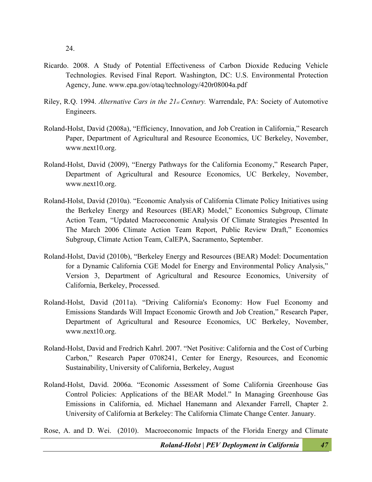- Ricardo. 2008. A Study of Potential Effectiveness of Carbon Dioxide Reducing Vehicle Technologies. Revised Final Report. Washington, DC: U.S. Environmental Protection Agency, June. www.epa.gov/otaq/technology/420r08004a.pdf
- Riley, R.Q. 1994. *Alternative Cars in the 21st Century.* Warrendale, PA: Society of Automotive Engineers.
- Roland-Holst, David (2008a), "Efficiency, Innovation, and Job Creation in California," Research Paper, Department of Agricultural and Resource Economics, UC Berkeley, November, www.next10.org.
- Roland-Holst, David (2009), "Energy Pathways for the California Economy," Research Paper, Department of Agricultural and Resource Economics, UC Berkeley, November, www.next10.org.
- Roland-Holst, David (2010a). "Economic Analysis of California Climate Policy Initiatives using the Berkeley Energy and Resources (BEAR) Model," Economics Subgroup, Climate Action Team, "Updated Macroeconomic Analysis Of Climate Strategies Presented In The March 2006 Climate Action Team Report, Public Review Draft," Economics Subgroup, Climate Action Team, CalEPA, Sacramento, September.
- Roland-Holst, David (2010b), "Berkeley Energy and Resources (BEAR) Model: Documentation for a Dynamic California CGE Model for Energy and Environmental Policy Analysis," Version 3, Department of Agricultural and Resource Economics, University of California, Berkeley, Processed.
- Roland-Holst, David (2011a). "Driving California's Economy: How Fuel Economy and Emissions Standards Will Impact Economic Growth and Job Creation," Research Paper, Department of Agricultural and Resource Economics, UC Berkeley, November, www.next10.org.
- Roland-Holst, David and Fredrich Kahrl. 2007. "Net Positive: California and the Cost of Curbing Carbon," Research Paper 0708241, Center for Energy, Resources, and Economic Sustainability, University of California, Berkeley, August
- Roland-Holst, David. 2006a. "Economic Assessment of Some California Greenhouse Gas Control Policies: Applications of the BEAR Model." In Managing Greenhouse Gas Emissions in California, ed. Michael Hanemann and Alexander Farrell, Chapter 2. University of California at Berkeley: The California Climate Change Center. January.

Rose, A. and D. Wei. (2010). Macroeconomic Impacts of the Florida Energy and Climate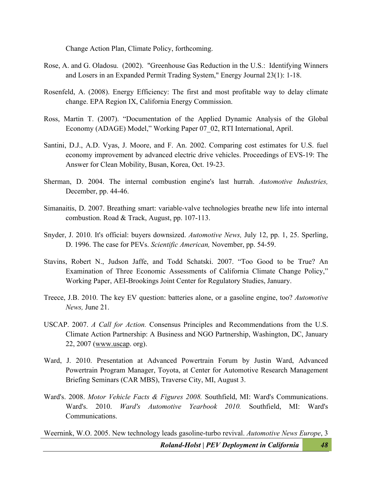Change Action Plan, Climate Policy, forthcoming.

- Rose, A. and G. Oladosu. (2002). "Greenhouse Gas Reduction in the U.S.: Identifying Winners and Losers in an Expanded Permit Trading System," Energy Journal 23(1): 1-18.
- Rosenfeld, A. (2008). Energy Efficiency: The first and most profitable way to delay climate change. EPA Region IX, California Energy Commission.
- Ross, Martin T. (2007). "Documentation of the Applied Dynamic Analysis of the Global Economy (ADAGE) Model," Working Paper 07\_02, RTI International, April.
- Santini, D.J., A.D. Vyas, J. Moore, and F. An. 2002. Comparing cost estimates for U.S. fuel economy improvement by advanced electric drive vehicles. Proceedings of EVS-19: The Answer for Clean Mobility, Busan, Korea, Oct. 19-23.
- Sherman, D. 2004. The internal combustion engine's last hurrah. *Automotive Industries,*  December, pp. 44-46.
- Simanaitis, D. 2007. Breathing smart: variable-valve technologies breathe new life into internal combustion. Road & Track, August, pp. 107-113.
- Snyder, J. 2010. It's official: buyers downsized. *Automotive News,* July 12, pp. 1, 25. Sperling, D. 1996. The case for PEVs. *Scientific American,* November, pp. 54-59.
- Stavins, Robert N., Judson Jaffe, and Todd Schatski. 2007. "Too Good to be True? An Examination of Three Economic Assessments of California Climate Change Policy," Working Paper, AEI-Brookings Joint Center for Regulatory Studies, January.
- Treece, J.B. 2010. The key EV question: batteries alone, or a gasoline engine, too? *Automotive News,* June 21.
- USCAP. 2007. *A Call for Action.* Consensus Principles and Recommendations from the U.S. Climate Action Partnership: A Business and NGO Partnership, Washington, DC, January 22, 2007 (www.uscap. org).
- Ward, J. 2010. Presentation at Advanced Powertrain Forum by Justin Ward, Advanced Powertrain Program Manager, Toyota, at Center for Automotive Research Management Briefing Seminars (CAR MBS), Traverse City, MI, August 3.
- Ward's. 2008. *Motor Vehicle Facts & Figures 2008.* Southfield, MI: Ward's Communications. Ward's. 2010. *Ward's Automotive Yearbook 2010.* Southfield, MI: Ward's Communications.

Weernink, W.O. 2005. New technology leads gasoline-turbo revival. *Automotive News Europe*, 3